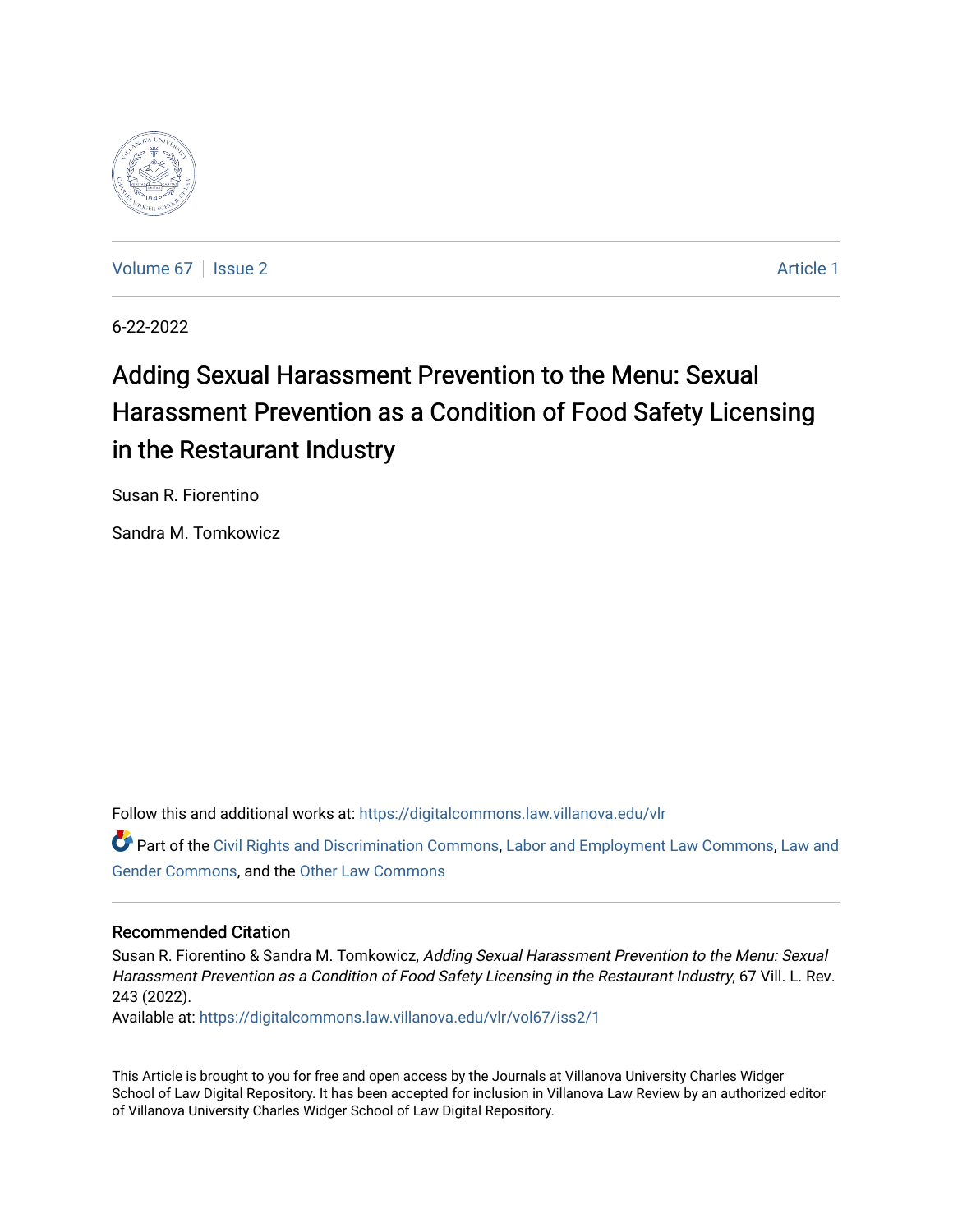

[Volume 67](https://digitalcommons.law.villanova.edu/vlr/vol67) | [Issue 2](https://digitalcommons.law.villanova.edu/vlr/vol67/iss2) Article 1

6-22-2022

# Adding Sexual Harassment Prevention to the Menu: Sexual Harassment Prevention as a Condition of Food Safety Licensing in the Restaurant Industry

Susan R. Fiorentino

Sandra M. Tomkowicz

Follow this and additional works at: [https://digitalcommons.law.villanova.edu/vlr](https://digitalcommons.law.villanova.edu/vlr?utm_source=digitalcommons.law.villanova.edu%2Fvlr%2Fvol67%2Fiss2%2F1&utm_medium=PDF&utm_campaign=PDFCoverPages)

Part of the [Civil Rights and Discrimination Commons,](https://network.bepress.com/hgg/discipline/585?utm_source=digitalcommons.law.villanova.edu%2Fvlr%2Fvol67%2Fiss2%2F1&utm_medium=PDF&utm_campaign=PDFCoverPages) [Labor and Employment Law Commons](https://network.bepress.com/hgg/discipline/909?utm_source=digitalcommons.law.villanova.edu%2Fvlr%2Fvol67%2Fiss2%2F1&utm_medium=PDF&utm_campaign=PDFCoverPages), [Law and](https://network.bepress.com/hgg/discipline/1298?utm_source=digitalcommons.law.villanova.edu%2Fvlr%2Fvol67%2Fiss2%2F1&utm_medium=PDF&utm_campaign=PDFCoverPages) [Gender Commons,](https://network.bepress.com/hgg/discipline/1298?utm_source=digitalcommons.law.villanova.edu%2Fvlr%2Fvol67%2Fiss2%2F1&utm_medium=PDF&utm_campaign=PDFCoverPages) and the [Other Law Commons](https://network.bepress.com/hgg/discipline/621?utm_source=digitalcommons.law.villanova.edu%2Fvlr%2Fvol67%2Fiss2%2F1&utm_medium=PDF&utm_campaign=PDFCoverPages)

# Recommended Citation

Susan R. Fiorentino & Sandra M. Tomkowicz, Adding Sexual Harassment Prevention to the Menu: Sexual Harassment Prevention as a Condition of Food Safety Licensing in the Restaurant Industry, 67 Vill. L. Rev. 243 (2022).

Available at: [https://digitalcommons.law.villanova.edu/vlr/vol67/iss2/1](https://digitalcommons.law.villanova.edu/vlr/vol67/iss2/1?utm_source=digitalcommons.law.villanova.edu%2Fvlr%2Fvol67%2Fiss2%2F1&utm_medium=PDF&utm_campaign=PDFCoverPages) 

This Article is brought to you for free and open access by the Journals at Villanova University Charles Widger School of Law Digital Repository. It has been accepted for inclusion in Villanova Law Review by an authorized editor of Villanova University Charles Widger School of Law Digital Repository.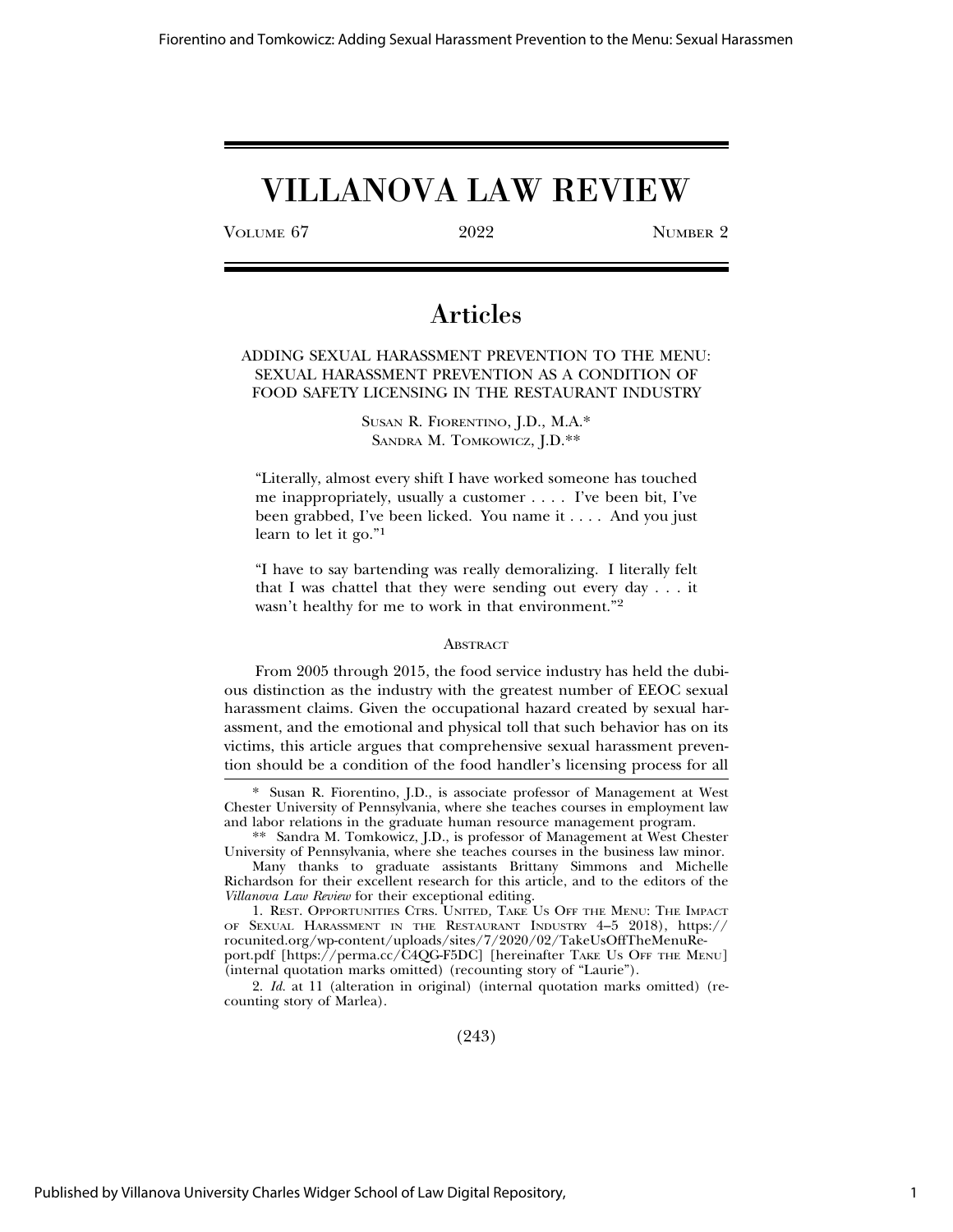# VILLANOVA LAW REVIEW

VOLUME 67 2022 NUMBER 2

# Articles

# ADDING SEXUAL HARASSMENT PREVENTION TO THE MENU: SEXUAL HARASSMENT PREVENTION AS A CONDITION OF FOOD SAFETY LICENSING IN THE RESTAURANT INDUSTRY

SUSAN R. FIORENTINO, J.D., M.A.\* SANDRA M. TOMKOWICZ, J.D.\*\*

"Literally, almost every shift I have worked someone has touched me inappropriately, usually a customer . . . . I've been bit, I've been grabbed, I've been licked. You name it . . . . And you just learn to let it go."<sup>1</sup>

"I have to say bartending was really demoralizing. I literally felt that I was chattel that they were sending out every day . . . it wasn't healthy for me to work in that environment."<sup>2</sup>

#### **ABSTRACT**

From 2005 through 2015, the food service industry has held the dubious distinction as the industry with the greatest number of EEOC sexual harassment claims. Given the occupational hazard created by sexual harassment, and the emotional and physical toll that such behavior has on its victims, this article argues that comprehensive sexual harassment prevention should be a condition of the food handler's licensing process for all

(243)

<sup>\*</sup> Susan R. Fiorentino, J.D., is associate professor of Management at West Chester University of Pennsylvania, where she teaches courses in employment law and labor relations in the graduate human resource management program.

<sup>\*\*</sup> Sandra M. Tomkowicz, J.D., is professor of Management at West Chester University of Pennsylvania, where she teaches courses in the business law minor.

Many thanks to graduate assistants Brittany Simmons and Michelle Richardson for their excellent research for this article, and to the editors of the *Villanova Law Review* for their exceptional editing.

<sup>1.</sup> REST. OPPORTUNITIES CTRS. UNITED*,* TAKE US OFF THE MENU: THE IMPACT OF SEXUAL HARASSMENT IN THE RESTAURANT INDUSTRY 4–5 2018), https:// rocunited.org/wp-content/uploads/sites/7/2020/02/TakeUsOffTheMenuReport.pdf [https://perma.cc/C4QG-F5DC] [hereinafter TAKE US OFF THE MENU] (internal quotation marks omitted) (recounting story of "Laurie").

<sup>2.</sup> *Id.* at 11 (alteration in original) (internal quotation marks omitted) (recounting story of Marlea).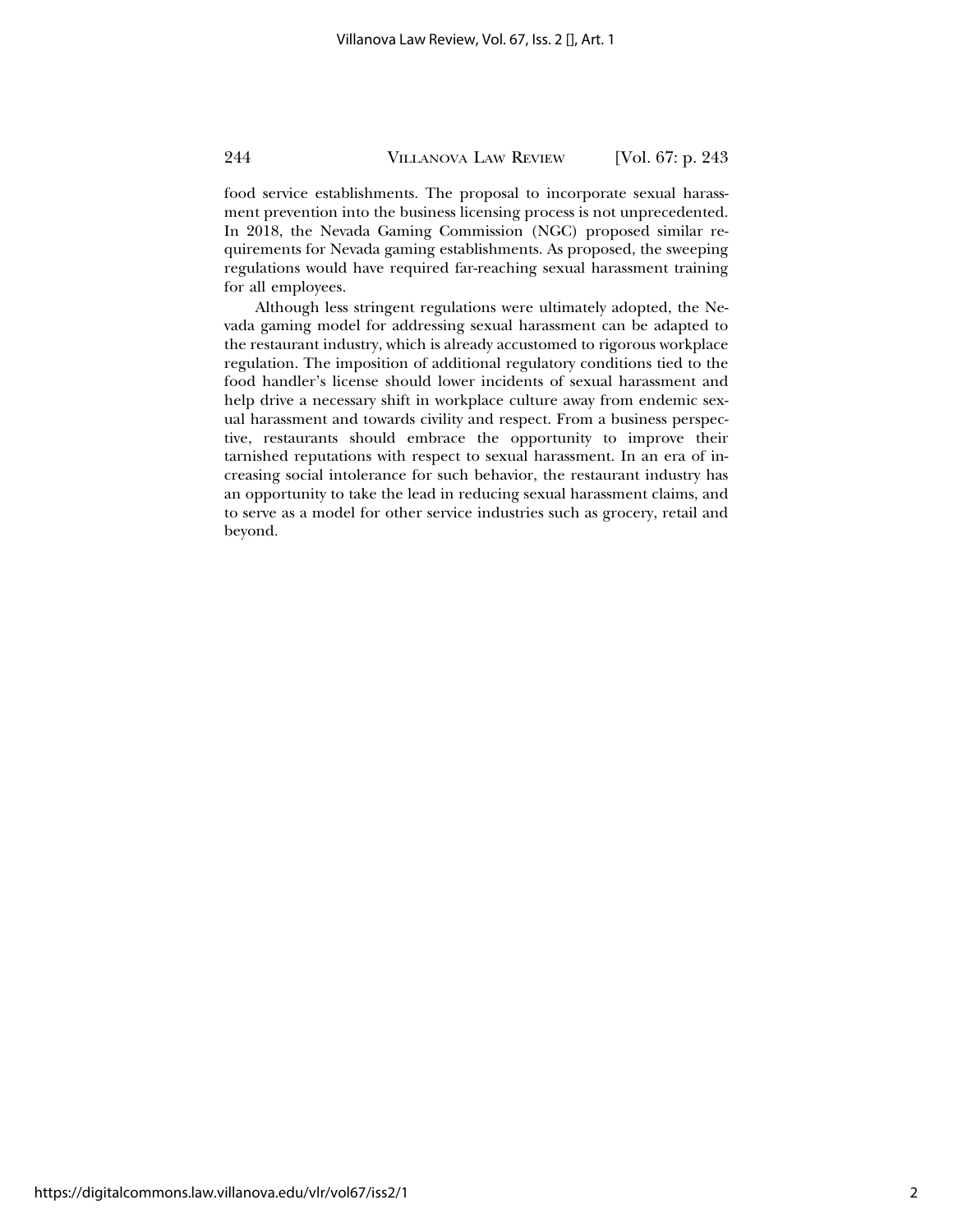food service establishments. The proposal to incorporate sexual harassment prevention into the business licensing process is not unprecedented. In 2018, the Nevada Gaming Commission (NGC) proposed similar requirements for Nevada gaming establishments. As proposed, the sweeping regulations would have required far-reaching sexual harassment training for all employees.

Although less stringent regulations were ultimately adopted, the Nevada gaming model for addressing sexual harassment can be adapted to the restaurant industry, which is already accustomed to rigorous workplace regulation. The imposition of additional regulatory conditions tied to the food handler's license should lower incidents of sexual harassment and help drive a necessary shift in workplace culture away from endemic sexual harassment and towards civility and respect. From a business perspective, restaurants should embrace the opportunity to improve their tarnished reputations with respect to sexual harassment. In an era of increasing social intolerance for such behavior, the restaurant industry has an opportunity to take the lead in reducing sexual harassment claims, and to serve as a model for other service industries such as grocery, retail and beyond.

https://digitalcommons.law.villanova.edu/vlr/vol67/iss2/1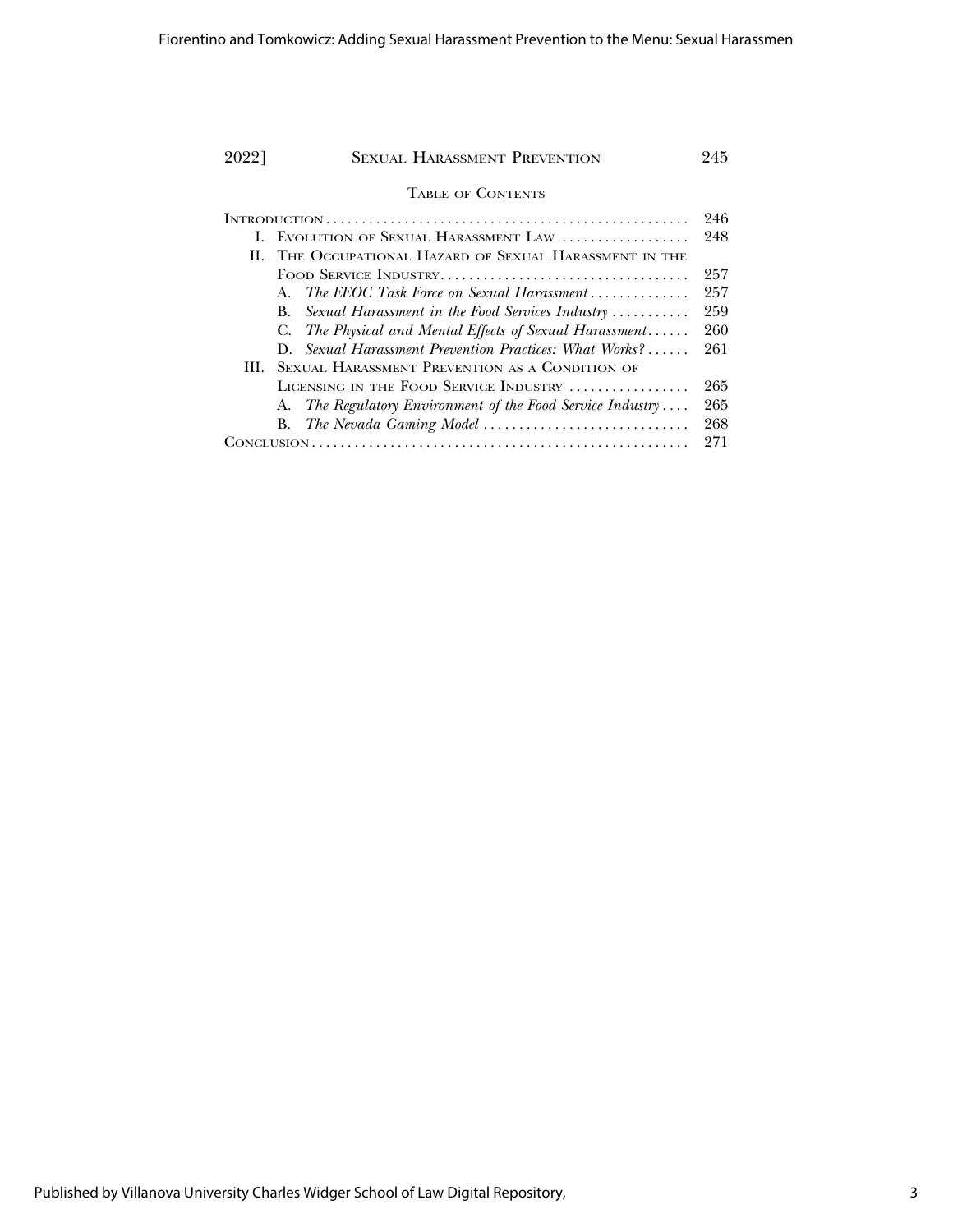| 90221 | <b>SEXUAL HARASSMENT PREVENTION</b>                                          | 945 |
|-------|------------------------------------------------------------------------------|-----|
|       | <b>TABLE OF CONTENTS</b>                                                     |     |
|       |                                                                              | 246 |
|       | EVOLUTION OF SEXUAL HARASSMENT LAW                                           | 248 |
|       | II. THE OCCUPATIONAL HAZARD OF SEXUAL HARASSMENT IN THE                      |     |
|       |                                                                              | 257 |
|       | The EEOC Task Force on Sexual Harassment<br>$A_{\cdot}$                      | 257 |
|       | Sexual Harassment in the Food Services Industry $\ldots \ldots \ldots$<br>B. | 259 |
|       | The Physical and Mental Effects of Sexual Harassment<br>C.                   | 260 |
|       | Sexual Harassment Prevention Practices: What Works?<br>D.                    | 261 |
| HL.   | <b>SEXUAL HARASSMENT PREVENTION AS A CONDITION OF</b>                        |     |
|       | LICENSING IN THE FOOD SERVICE INDUSTRY                                       | 265 |
|       | A. The Regulatory Environment of the Food Service Industry                   | 265 |
|       |                                                                              | 268 |
|       |                                                                              | 271 |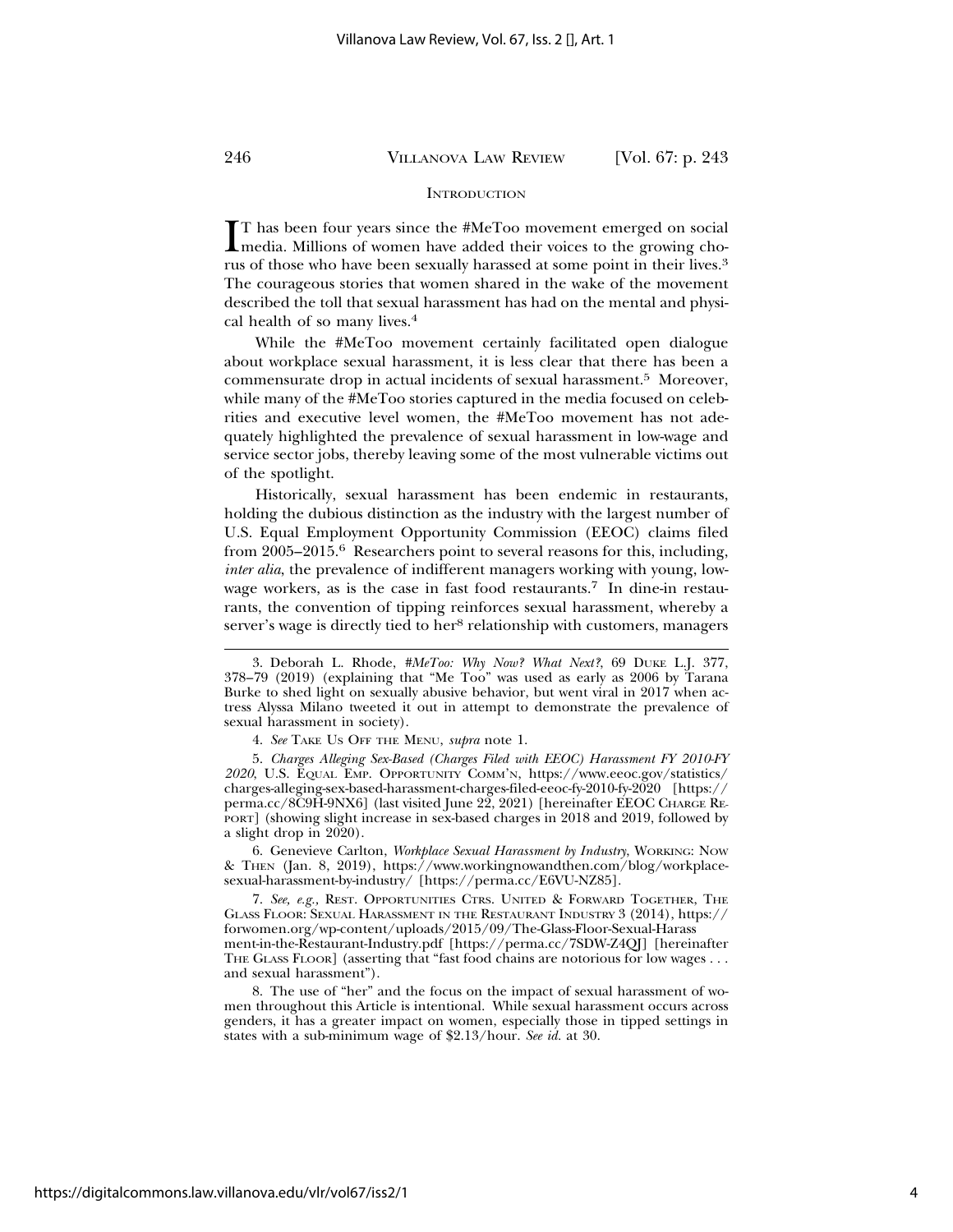### **INTRODUCTION**

IT has been four years since the #MeToo movement emerged on social media. Millions of women have added their voices to the growing cho-T has been four years since the #MeToo movement emerged on social rus of those who have been sexually harassed at some point in their lives.<sup>3</sup> The courageous stories that women shared in the wake of the movement described the toll that sexual harassment has had on the mental and physical health of so many lives.<sup>4</sup>

While the #MeToo movement certainly facilitated open dialogue about workplace sexual harassment, it is less clear that there has been a commensurate drop in actual incidents of sexual harassment.<sup>5</sup> Moreover, while many of the #MeToo stories captured in the media focused on celebrities and executive level women, the #MeToo movement has not adequately highlighted the prevalence of sexual harassment in low-wage and service sector jobs, thereby leaving some of the most vulnerable victims out of the spotlight.

Historically, sexual harassment has been endemic in restaurants, holding the dubious distinction as the industry with the largest number of U.S. Equal Employment Opportunity Commission (EEOC) claims filed from 2005–2015.6 Researchers point to several reasons for this, including, *inter alia*, the prevalence of indifferent managers working with young, lowwage workers, as is the case in fast food restaurants.<sup>7</sup> In dine-in restaurants, the convention of tipping reinforces sexual harassment, whereby a server's wage is directly tied to her<sup>8</sup> relationship with customers, managers

6. Genevieve Carlton, *Workplace Sexual Harassment by Industry*, WORKING: NOW & THEN (Jan. 8, 2019), https://www.workingnowandthen.com/blog/workplacesexual-harassment-by-industry/ [https://perma.cc/E6VU-NZ85].

7. *See, e.g.,* REST. OPPORTUNITIES CTRS. UNITED & FORWARD TOGETHER, THE GLASS FLOOR: SEXUAL HARASSMENT IN THE RESTAURANT INDUSTRY 3 (2014), https:// forwomen.org/wp-content/uploads/2015/09/The-Glass-Floor-Sexual-Harass ment-in-the-Restaurant-Industry.pdf [https://perma.cc/7SDW-Z4QJ] [hereinafter THE GLASS FLOOR] (asserting that "fast food chains are notorious for low wages . . . and sexual harassment").

8. The use of "her" and the focus on the impact of sexual harassment of women throughout this Article is intentional. While sexual harassment occurs across genders, it has a greater impact on women, especially those in tipped settings in states with a sub-minimum wage of \$2.13/hour. *See id.* at 30.

<sup>3.</sup> Deborah L. Rhode, *#MeToo: Why Now? What Next?*, 69 DUKE L.J. 377, 378–79 (2019) (explaining that "Me Too" was used as early as 2006 by Tarana Burke to shed light on sexually abusive behavior, but went viral in 2017 when actress Alyssa Milano tweeted it out in attempt to demonstrate the prevalence of sexual harassment in society).

<sup>4.</sup> *See* TAKE US OFF THE MENU, *supra* note 1.

<sup>5.</sup> *Charges Alleging Sex-Based (Charges Filed with EEOC) Harassment FY 2010-FY 2020*, U.S. EQUAL EMP. OPPORTUNITY COMM'N, https://www.eeoc.gov/statistics/ charges-alleging-sex-based-harassment-charges-filed-eeoc-fy-2010-fy-2020 [https:// perma.cc/8C9H-9NX6] (last visited June 22, 2021) [hereinafter EEOC CHARGE RE-PORT] (showing slight increase in sex-based charges in 2018 and 2019, followed by a slight drop in 2020).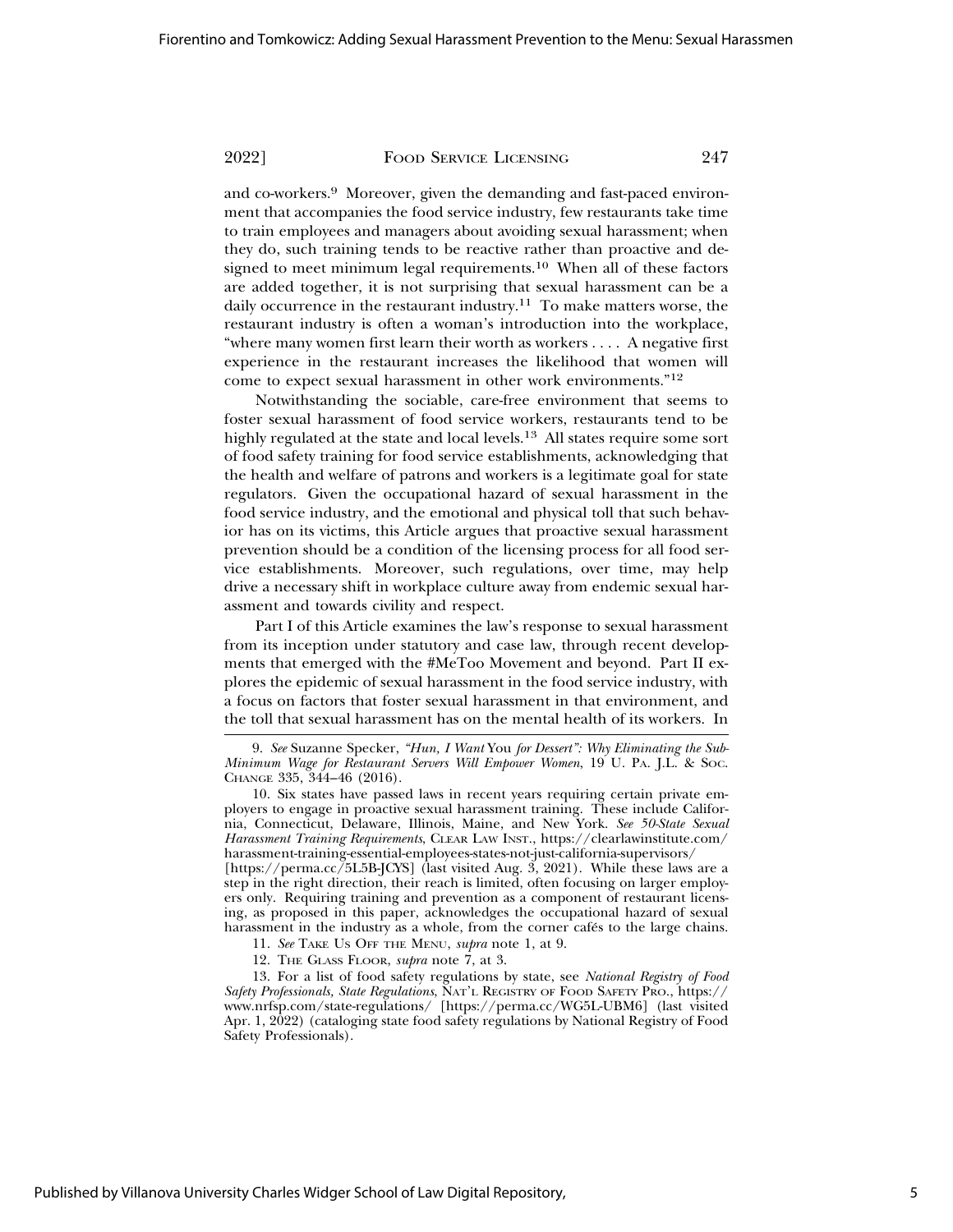and co-workers.9 Moreover, given the demanding and fast-paced environment that accompanies the food service industry, few restaurants take time to train employees and managers about avoiding sexual harassment; when they do, such training tends to be reactive rather than proactive and designed to meet minimum legal requirements.<sup>10</sup> When all of these factors are added together, it is not surprising that sexual harassment can be a daily occurrence in the restaurant industry.<sup>11</sup> To make matters worse, the restaurant industry is often a woman's introduction into the workplace, "where many women first learn their worth as workers . . . . A negative first experience in the restaurant increases the likelihood that women will come to expect sexual harassment in other work environments."<sup>12</sup>

Notwithstanding the sociable, care-free environment that seems to foster sexual harassment of food service workers, restaurants tend to be highly regulated at the state and local levels.13 All states require some sort of food safety training for food service establishments, acknowledging that the health and welfare of patrons and workers is a legitimate goal for state regulators. Given the occupational hazard of sexual harassment in the food service industry, and the emotional and physical toll that such behavior has on its victims, this Article argues that proactive sexual harassment prevention should be a condition of the licensing process for all food service establishments. Moreover, such regulations, over time, may help drive a necessary shift in workplace culture away from endemic sexual harassment and towards civility and respect.

Part I of this Article examines the law's response to sexual harassment from its inception under statutory and case law, through recent developments that emerged with the #MeToo Movement and beyond. Part II explores the epidemic of sexual harassment in the food service industry, with a focus on factors that foster sexual harassment in that environment, and the toll that sexual harassment has on the mental health of its workers. In

[https://perma.cc/5L5B-JCYS] (last visited Aug. 3, 2021). While these laws are a step in the right direction, their reach is limited, often focusing on larger employers only. Requiring training and prevention as a component of restaurant licensing, as proposed in this paper, acknowledges the occupational hazard of sexual harassment in the industry as a whole, from the corner cafés to the large chains.

11. *See* TAKE US OFF THE MENU, *supra* note 1, at 9.

12. THE GLASS FLOOR, *supra* note 7, at 3.

13. For a list of food safety regulations by state, see *National Registry of Food Safety Professionals, State Regulations*, NAT'L REGISTRY OF FOOD SAFETY PRO., https:// www.nrfsp.com/state-regulations/ [https://perma.cc/WG5L-UBM6] (last visited Apr. 1, 2022) (cataloging state food safety regulations by National Registry of Food Safety Professionals).

<sup>9.</sup> *See* Suzanne Specker, *"Hun, I Want* You *for Dessert": Why Eliminating the Sub-Minimum Wage for Restaurant Servers Will Empower Women*, 19 U. PA. J.L. & SOC. CHANGE 335, 344–46 (2016).

<sup>10.</sup> Six states have passed laws in recent years requiring certain private employers to engage in proactive sexual harassment training. These include California, Connecticut, Delaware, Illinois, Maine, and New York. *See 50-State Sexual Harassment Training Requirements*, CLEAR LAW INST., https://clearlawinstitute.com/ harassment-training-essential-employees-states-not-just-california-supervisors/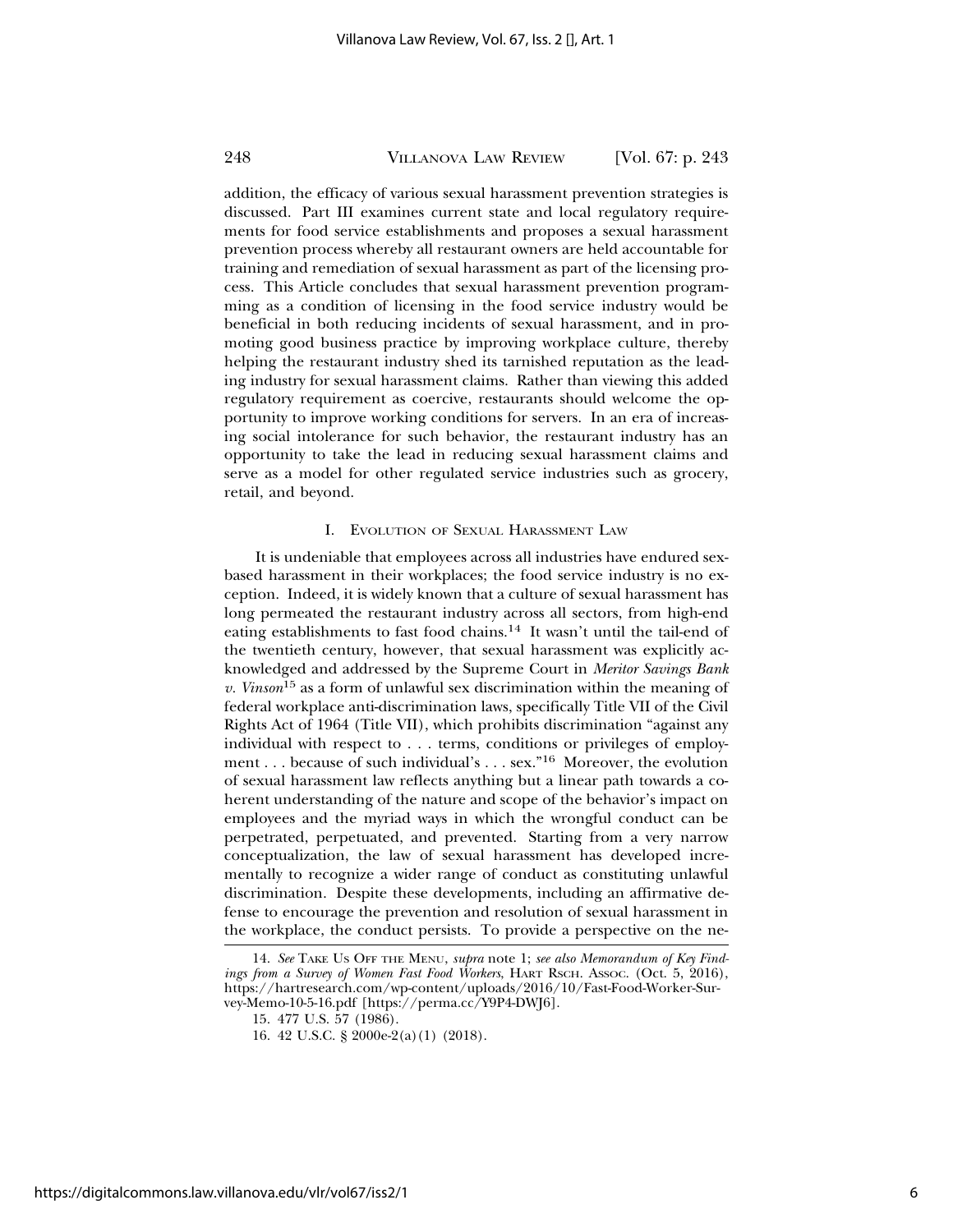addition, the efficacy of various sexual harassment prevention strategies is discussed. Part III examines current state and local regulatory requirements for food service establishments and proposes a sexual harassment prevention process whereby all restaurant owners are held accountable for training and remediation of sexual harassment as part of the licensing process. This Article concludes that sexual harassment prevention programming as a condition of licensing in the food service industry would be beneficial in both reducing incidents of sexual harassment, and in promoting good business practice by improving workplace culture, thereby helping the restaurant industry shed its tarnished reputation as the leading industry for sexual harassment claims. Rather than viewing this added regulatory requirement as coercive, restaurants should welcome the opportunity to improve working conditions for servers. In an era of increasing social intolerance for such behavior, the restaurant industry has an opportunity to take the lead in reducing sexual harassment claims and serve as a model for other regulated service industries such as grocery, retail, and beyond.

#### I. EVOLUTION OF SEXUAL HARASSMENT LAW

It is undeniable that employees across all industries have endured sexbased harassment in their workplaces; the food service industry is no exception. Indeed, it is widely known that a culture of sexual harassment has long permeated the restaurant industry across all sectors, from high-end eating establishments to fast food chains.14 It wasn't until the tail-end of the twentieth century, however, that sexual harassment was explicitly acknowledged and addressed by the Supreme Court in *Meritor Savings Bank v. Vinson*15 as a form of unlawful sex discrimination within the meaning of federal workplace anti-discrimination laws, specifically Title VII of the Civil Rights Act of 1964 (Title VII), which prohibits discrimination "against any individual with respect to . . . terms, conditions or privileges of employment . . . because of such individual's . . . sex."16 Moreover, the evolution of sexual harassment law reflects anything but a linear path towards a coherent understanding of the nature and scope of the behavior's impact on employees and the myriad ways in which the wrongful conduct can be perpetrated, perpetuated, and prevented. Starting from a very narrow conceptualization, the law of sexual harassment has developed incrementally to recognize a wider range of conduct as constituting unlawful discrimination. Despite these developments, including an affirmative defense to encourage the prevention and resolution of sexual harassment in the workplace, the conduct persists. To provide a perspective on the ne-

https://digitalcommons.law.villanova.edu/vlr/vol67/iss2/1

<sup>14.</sup> *See* TAKE US OFF THE MENU, *supra* note 1; *see also Memorandum of Key Findings from a Survey of Women Fast Food Workers*, HART RSCH. Assoc. (Oct. 5, 2016), https://hartresearch.com/wp-content/uploads/2016/10/Fast-Food-Worker-Survey-Memo-10-5-16.pdf [https://perma.cc/Y9P4-DWJ6].

<sup>15. 477</sup> U.S. 57 (1986).

<sup>16. 42</sup> U.S.C. § 2000e-2(a)(1) (2018).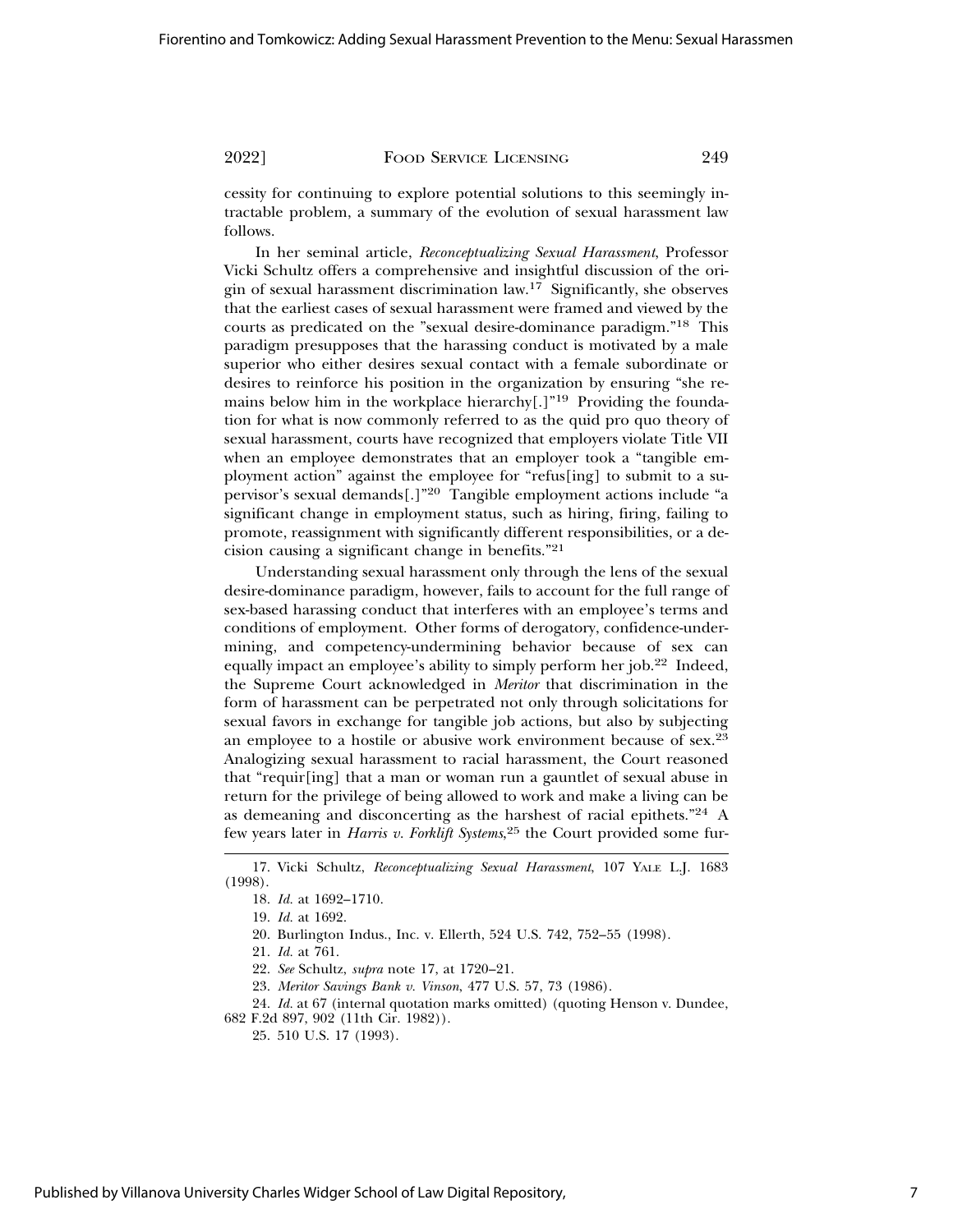cessity for continuing to explore potential solutions to this seemingly intractable problem, a summary of the evolution of sexual harassment law follows.

In her seminal article, *Reconceptualizing Sexual Harassment*, Professor Vicki Schultz offers a comprehensive and insightful discussion of the origin of sexual harassment discrimination law.17 Significantly, she observes that the earliest cases of sexual harassment were framed and viewed by the courts as predicated on the "sexual desire-dominance paradigm."18 This paradigm presupposes that the harassing conduct is motivated by a male superior who either desires sexual contact with a female subordinate or desires to reinforce his position in the organization by ensuring "she remains below him in the workplace hierarchy<sup>[1]</sup><sup>19</sup> Providing the foundation for what is now commonly referred to as the quid pro quo theory of sexual harassment, courts have recognized that employers violate Title VII when an employee demonstrates that an employer took a "tangible employment action" against the employee for "refus[ing] to submit to a supervisor's sexual demands[.]"20 Tangible employment actions include "a significant change in employment status, such as hiring, firing, failing to promote, reassignment with significantly different responsibilities, or a decision causing a significant change in benefits."<sup>21</sup>

Understanding sexual harassment only through the lens of the sexual desire-dominance paradigm, however, fails to account for the full range of sex-based harassing conduct that interferes with an employee's terms and conditions of employment. Other forms of derogatory, confidence-undermining, and competency-undermining behavior because of sex can equally impact an employee's ability to simply perform her job.22 Indeed, the Supreme Court acknowledged in *Meritor* that discrimination in the form of harassment can be perpetrated not only through solicitations for sexual favors in exchange for tangible job actions, but also by subjecting an employee to a hostile or abusive work environment because of sex.<sup>23</sup> Analogizing sexual harassment to racial harassment, the Court reasoned that "requir[ing] that a man or woman run a gauntlet of sexual abuse in return for the privilege of being allowed to work and make a living can be as demeaning and disconcerting as the harshest of racial epithets."24 A few years later in *Harris v. Forklift Systems*, 25 the Court provided some fur-

23. *Meritor Savings Bank v. Vinson*, 477 U.S. 57, 73 (1986).

24. *Id.* at 67 (internal quotation marks omitted) (quoting Henson v. Dundee, 682 F.2d 897, 902 (11th Cir. 1982)).

25. 510 U.S. 17 (1993).

<sup>17.</sup> Vicki Schultz, *Reconceptualizing Sexual Harassment*, 107 YALE L.J. 1683 (1998).

<sup>18.</sup> *Id.* at 1692–1710.

<sup>19.</sup> *Id.* at 1692.

<sup>20.</sup> Burlington Indus., Inc. v. Ellerth, 524 U.S. 742, 752–55 (1998).

<sup>21.</sup> *Id.* at 761.

<sup>22.</sup> *See* Schultz, *supra* note 17, at 1720–21.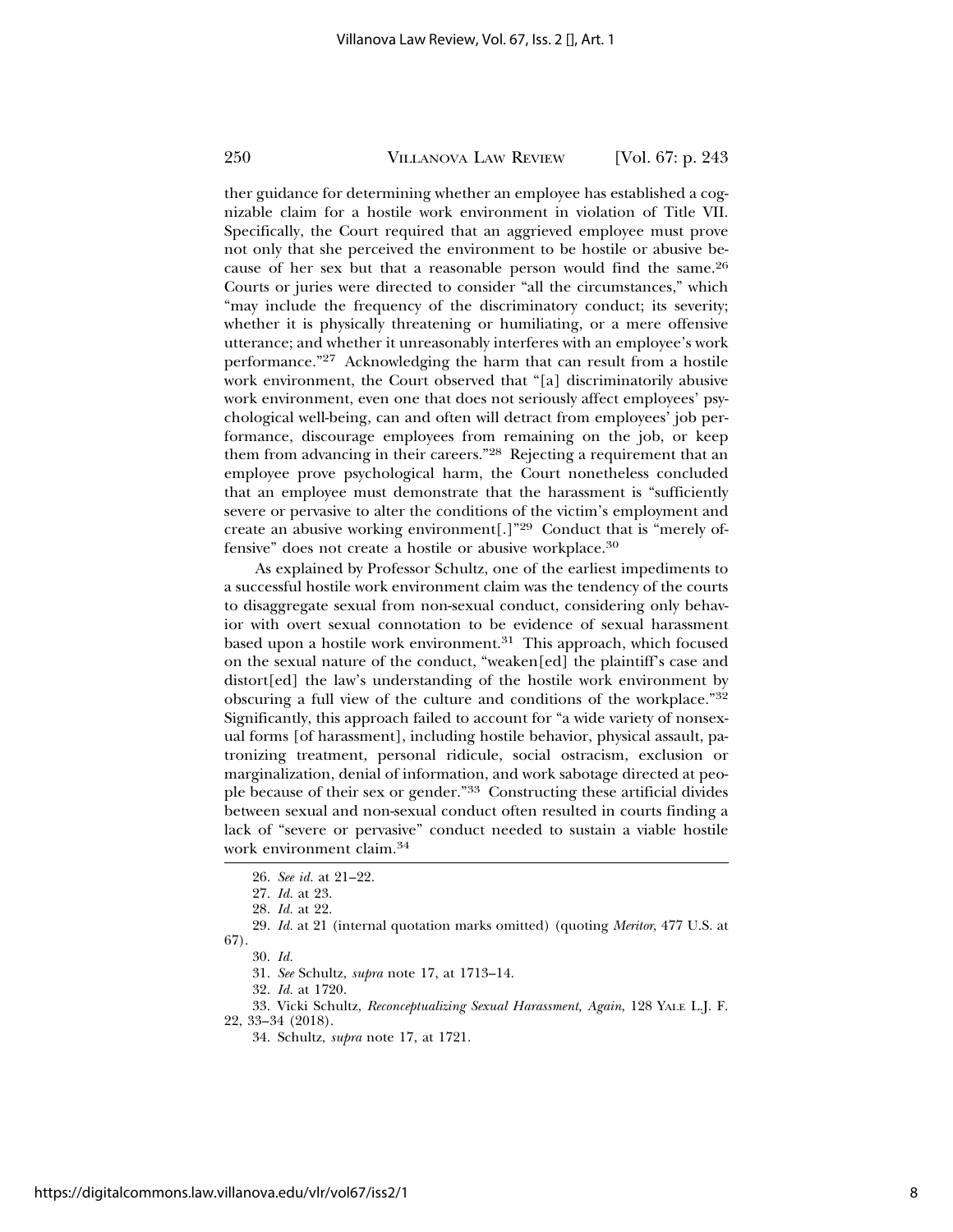ther guidance for determining whether an employee has established a cognizable claim for a hostile work environment in violation of Title VII. Specifically, the Court required that an aggrieved employee must prove not only that she perceived the environment to be hostile or abusive because of her sex but that a reasonable person would find the same.<sup>26</sup> Courts or juries were directed to consider "all the circumstances," which "may include the frequency of the discriminatory conduct; its severity; whether it is physically threatening or humiliating, or a mere offensive utterance; and whether it unreasonably interferes with an employee's work performance."27 Acknowledging the harm that can result from a hostile work environment, the Court observed that "[a] discriminatorily abusive work environment, even one that does not seriously affect employees' psychological well-being, can and often will detract from employees' job performance, discourage employees from remaining on the job, or keep them from advancing in their careers."28 Rejecting a requirement that an employee prove psychological harm, the Court nonetheless concluded that an employee must demonstrate that the harassment is "sufficiently severe or pervasive to alter the conditions of the victim's employment and create an abusive working environment[.]"29 Conduct that is "merely offensive" does not create a hostile or abusive workplace.<sup>30</sup>

As explained by Professor Schultz, one of the earliest impediments to a successful hostile work environment claim was the tendency of the courts to disaggregate sexual from non-sexual conduct, considering only behavior with overt sexual connotation to be evidence of sexual harassment based upon a hostile work environment. $31$  This approach, which focused on the sexual nature of the conduct, "weaken[ed] the plaintiff's case and distort[ed] the law's understanding of the hostile work environment by obscuring a full view of the culture and conditions of the workplace."<sup>32</sup> Significantly, this approach failed to account for "a wide variety of nonsexual forms [of harassment], including hostile behavior, physical assault, patronizing treatment, personal ridicule, social ostracism, exclusion or marginalization, denial of information, and work sabotage directed at people because of their sex or gender."33 Constructing these artificial divides between sexual and non-sexual conduct often resulted in courts finding a lack of "severe or pervasive" conduct needed to sustain a viable hostile work environment claim.<sup>34</sup>

29. *Id.* at 21 (internal quotation marks omitted) (quoting *Meritor*, 477 U.S. at 67).

33. Vicki Schultz, *Reconceptualizing Sexual Harassment, Again*, 128 YALE L.J. F. 22, 33–34 (2018).

34. Schultz, *supra* note 17, at 1721.

<sup>26.</sup> *See id.* at 21–22.

<sup>27.</sup> *Id.* at 23.

<sup>28.</sup> *Id.* at 22.

<sup>30.</sup> *Id.*

<sup>31.</sup> *See* Schultz, *supra* note 17, at 1713–14.

<sup>32.</sup> *Id.* at 1720.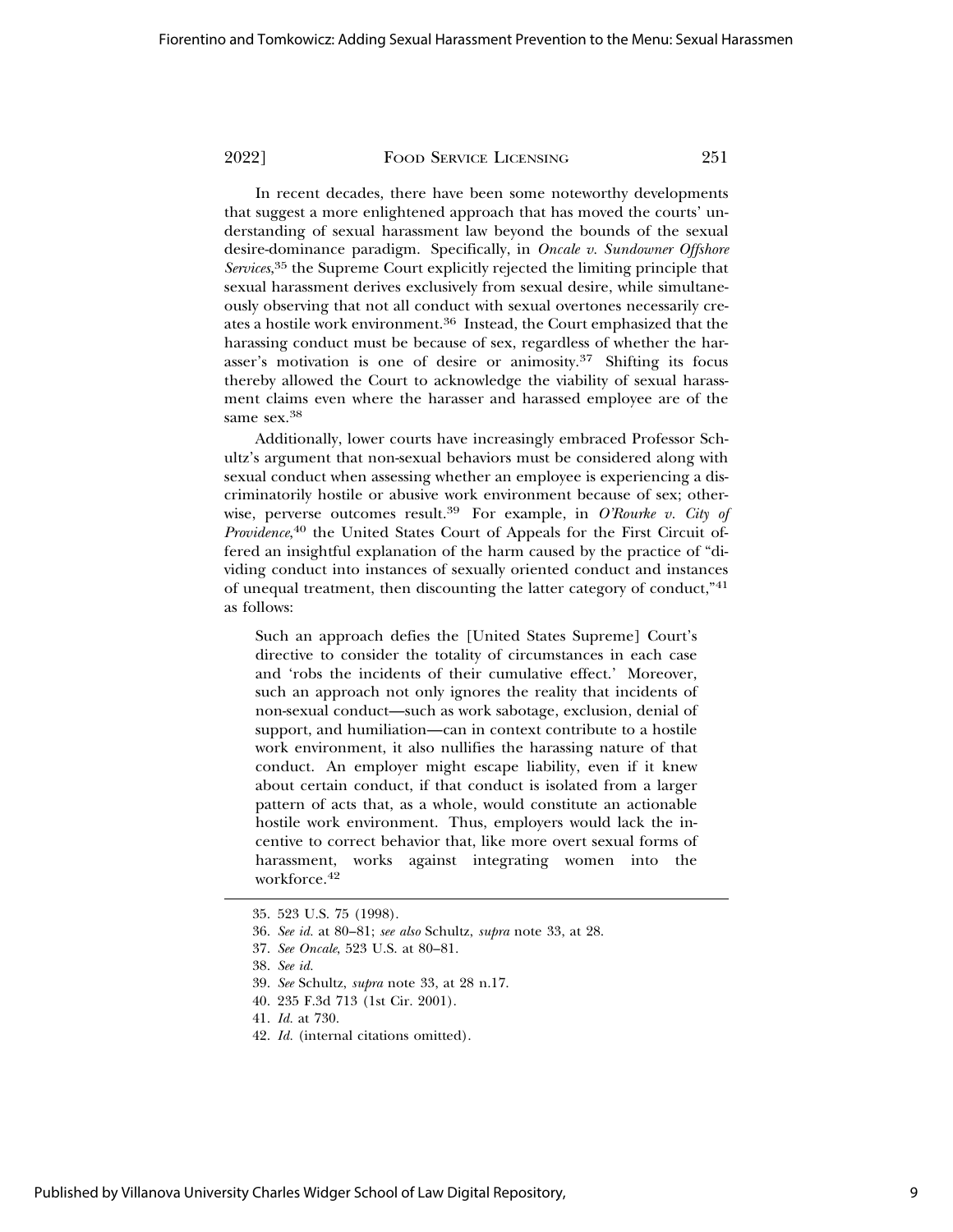In recent decades, there have been some noteworthy developments that suggest a more enlightened approach that has moved the courts' understanding of sexual harassment law beyond the bounds of the sexual desire-dominance paradigm. Specifically, in *Oncale v. Sundowner Offshore Services*, 35 the Supreme Court explicitly rejected the limiting principle that sexual harassment derives exclusively from sexual desire, while simultaneously observing that not all conduct with sexual overtones necessarily creates a hostile work environment.36 Instead, the Court emphasized that the harassing conduct must be because of sex, regardless of whether the harasser's motivation is one of desire or animosity.37 Shifting its focus thereby allowed the Court to acknowledge the viability of sexual harassment claims even where the harasser and harassed employee are of the same sex.<sup>38</sup>

Additionally, lower courts have increasingly embraced Professor Schultz's argument that non-sexual behaviors must be considered along with sexual conduct when assessing whether an employee is experiencing a discriminatorily hostile or abusive work environment because of sex; otherwise, perverse outcomes result.39 For example, in *O'Rourke v. City of* Providence,<sup>40</sup> the United States Court of Appeals for the First Circuit offered an insightful explanation of the harm caused by the practice of "dividing conduct into instances of sexually oriented conduct and instances of unequal treatment, then discounting the latter category of conduct,"<sup>41</sup> as follows:

Such an approach defies the [United States Supreme] Court's directive to consider the totality of circumstances in each case and 'robs the incidents of their cumulative effect.' Moreover, such an approach not only ignores the reality that incidents of non-sexual conduct—such as work sabotage, exclusion, denial of support, and humiliation—can in context contribute to a hostile work environment, it also nullifies the harassing nature of that conduct. An employer might escape liability, even if it knew about certain conduct, if that conduct is isolated from a larger pattern of acts that, as a whole, would constitute an actionable hostile work environment. Thus, employers would lack the incentive to correct behavior that, like more overt sexual forms of harassment, works against integrating women into the workforce.42

42. *Id.* (internal citations omitted).

<sup>35. 523</sup> U.S. 75 (1998).

<sup>36.</sup> *See id.* at 80–81; *see also* Schultz, *supra* note 33, at 28.

<sup>37.</sup> *See Oncale*, 523 U.S. at 80–81.

<sup>38.</sup> *See id.*

<sup>39.</sup> *See* Schultz, *supra* note 33, at 28 n.17.

<sup>40. 235</sup> F.3d 713 (1st Cir. 2001).

<sup>41.</sup> *Id.* at 730.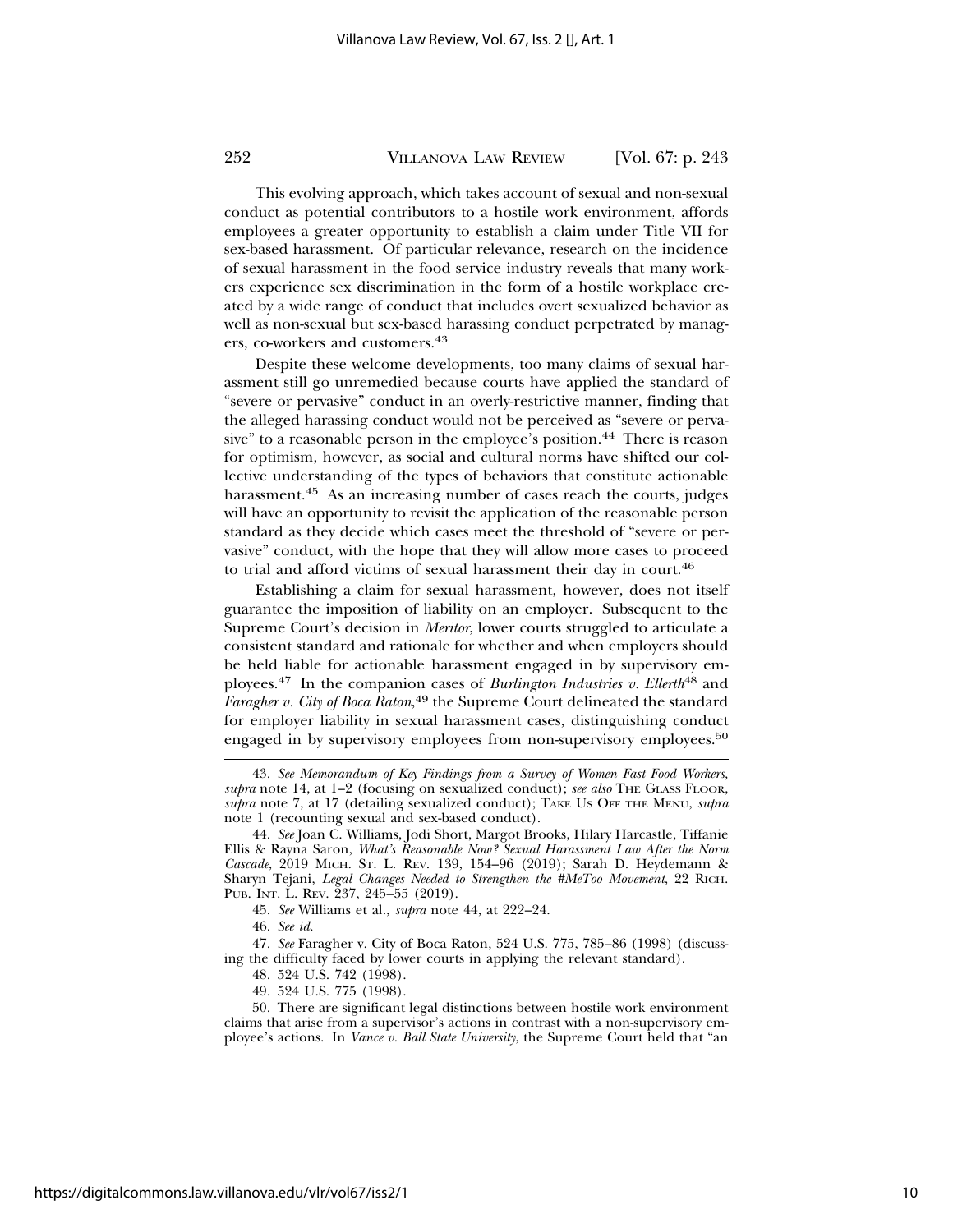This evolving approach, which takes account of sexual and non-sexual conduct as potential contributors to a hostile work environment, affords employees a greater opportunity to establish a claim under Title VII for sex-based harassment. Of particular relevance, research on the incidence of sexual harassment in the food service industry reveals that many workers experience sex discrimination in the form of a hostile workplace created by a wide range of conduct that includes overt sexualized behavior as well as non-sexual but sex-based harassing conduct perpetrated by managers, co-workers and customers.<sup>43</sup>

Despite these welcome developments, too many claims of sexual harassment still go unremedied because courts have applied the standard of "severe or pervasive" conduct in an overly-restrictive manner, finding that the alleged harassing conduct would not be perceived as "severe or pervasive" to a reasonable person in the employee's position.44 There is reason for optimism, however, as social and cultural norms have shifted our collective understanding of the types of behaviors that constitute actionable harassment.<sup>45</sup> As an increasing number of cases reach the courts, judges will have an opportunity to revisit the application of the reasonable person standard as they decide which cases meet the threshold of "severe or pervasive" conduct, with the hope that they will allow more cases to proceed to trial and afford victims of sexual harassment their day in court.<sup>46</sup>

Establishing a claim for sexual harassment, however, does not itself guarantee the imposition of liability on an employer. Subsequent to the Supreme Court's decision in *Meritor*, lower courts struggled to articulate a consistent standard and rationale for whether and when employers should be held liable for actionable harassment engaged in by supervisory employees.47 In the companion cases of *Burlington Industries v. Ellerth*48 and *Faragher v. City of Boca Raton*, 49 the Supreme Court delineated the standard for employer liability in sexual harassment cases, distinguishing conduct engaged in by supervisory employees from non-supervisory employees.<sup>50</sup>

49. 524 U.S. 775 (1998).

<sup>43.</sup> *See Memorandum of Key Findings from a Survey of Women Fast Food Workers, supra* note 14, at 1–2 (focusing on sexualized conduct); *see also* THE GLASS FLOOR, *supra* note 7, at 17 (detailing sexualized conduct); TAKE US OFF THE MENU, *supra* note 1 (recounting sexual and sex-based conduct).

<sup>44.</sup> *See* Joan C. Williams, Jodi Short, Margot Brooks, Hilary Harcastle, Tiffanie Ellis & Rayna Saron, *What's Reasonable Now? Sexual Harassment Law After the Norm Cascade*, 2019 MICH. ST. L. REV. 139, 154–96 (2019); Sarah D. Heydemann & Sharyn Tejani, *Legal Changes Needed to Strengthen the #MeToo Movement*, 22 RICH. PUB. INT. L. REV. 237, 245–55 (2019).

<sup>45.</sup> *See* Williams et al., *supra* note 44, at 222–24.

<sup>46.</sup> *See id.*

<sup>47.</sup> *See* Faragher v. City of Boca Raton, 524 U.S. 775, 785–86 (1998) (discussing the difficulty faced by lower courts in applying the relevant standard).

<sup>48. 524</sup> U.S. 742 (1998).

<sup>50.</sup> There are significant legal distinctions between hostile work environment claims that arise from a supervisor's actions in contrast with a non-supervisory employee's actions. In *Vance v. Ball State University*, the Supreme Court held that "an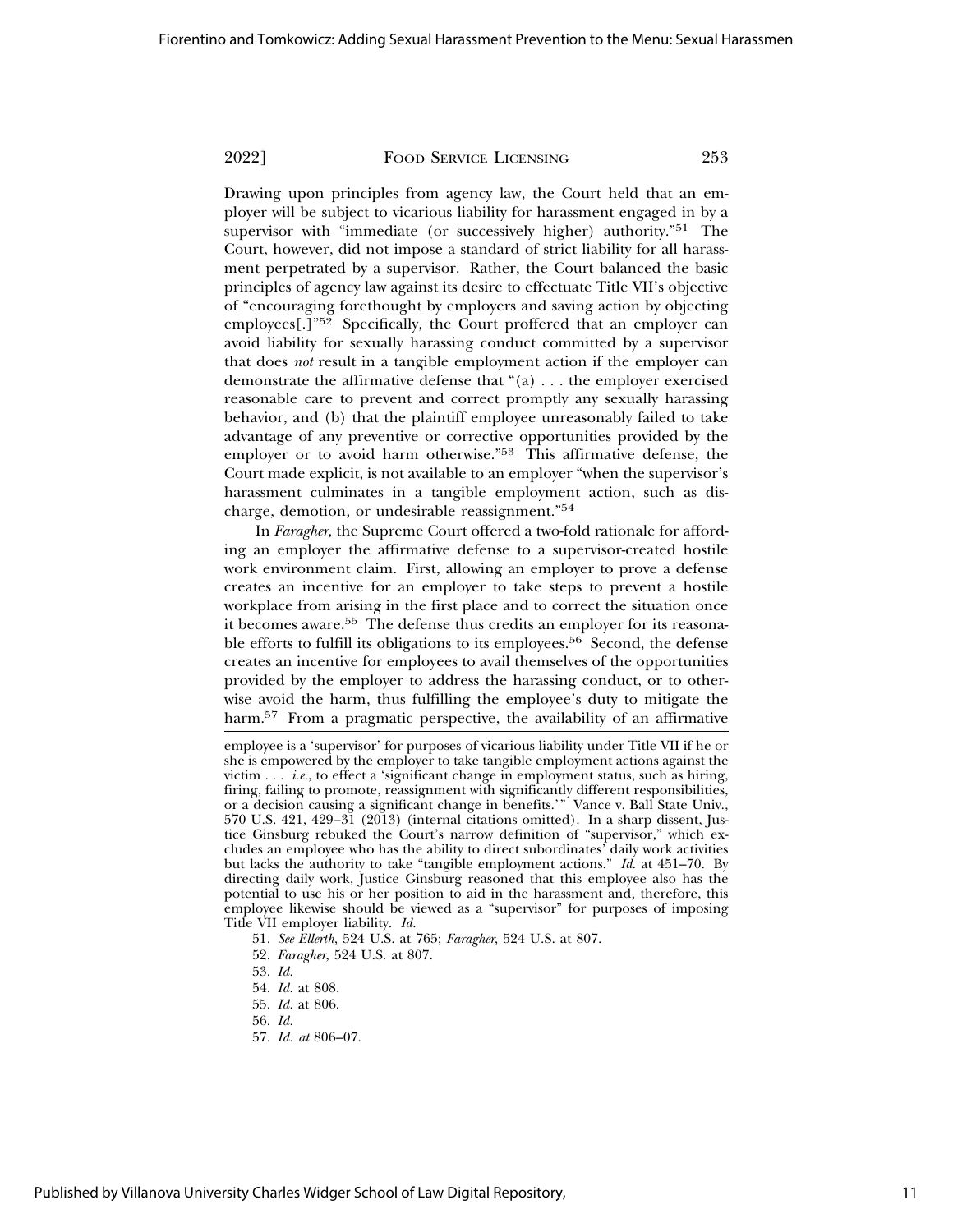Drawing upon principles from agency law, the Court held that an employer will be subject to vicarious liability for harassment engaged in by a supervisor with "immediate (or successively higher) authority."<sup>51</sup> The Court, however, did not impose a standard of strict liability for all harassment perpetrated by a supervisor. Rather, the Court balanced the basic principles of agency law against its desire to effectuate Title VII's objective of "encouraging forethought by employers and saving action by objecting employees[.]"52 Specifically, the Court proffered that an employer can avoid liability for sexually harassing conduct committed by a supervisor that does *not* result in a tangible employment action if the employer can demonstrate the affirmative defense that "(a) . . . the employer exercised reasonable care to prevent and correct promptly any sexually harassing behavior, and (b) that the plaintiff employee unreasonably failed to take advantage of any preventive or corrective opportunities provided by the employer or to avoid harm otherwise."53 This affirmative defense, the Court made explicit, is not available to an employer "when the supervisor's harassment culminates in a tangible employment action, such as discharge, demotion, or undesirable reassignment."<sup>54</sup>

In *Faragher,* the Supreme Court offered a two-fold rationale for affording an employer the affirmative defense to a supervisor-created hostile work environment claim. First, allowing an employer to prove a defense creates an incentive for an employer to take steps to prevent a hostile workplace from arising in the first place and to correct the situation once it becomes aware.<sup>55</sup> The defense thus credits an employer for its reasonable efforts to fulfill its obligations to its employees.<sup>56</sup> Second, the defense creates an incentive for employees to avail themselves of the opportunities provided by the employer to address the harassing conduct, or to otherwise avoid the harm, thus fulfilling the employee's duty to mitigate the harm.<sup>57</sup> From a pragmatic perspective, the availability of an affirmative

- 51. *See Ellerth*, 524 U.S. at 765; *Faragher*, 524 U.S. at 807.
- 52. *Faragher*, 524 U.S. at 807.
- 53. *Id.*
- 54. *Id.* at 808.
- 55. *Id.* at 806.
- 56. *Id.*
- 57. *Id. at* 806–07.

employee is a 'supervisor' for purposes of vicarious liability under Title VII if he or she is empowered by the employer to take tangible employment actions against the victim . . . *i.e.*, to effect a 'significant change in employment status, such as hiring, firing, failing to promote, reassignment with significantly different responsibilities, or a decision causing a significant change in benefits.'" Vance v. Ball State Univ., 570 U.S. 421, 429–31 (2013) (internal citations omitted). In a sharp dissent, Justice Ginsburg rebuked the Court's narrow definition of "supervisor," which excludes an employee who has the ability to direct subordinates' daily work activities but lacks the authority to take "tangible employment actions." *Id*. at 451–70. By directing daily work, Justice Ginsburg reasoned that this employee also has the potential to use his or her position to aid in the harassment and, therefore, this employee likewise should be viewed as a "supervisor" for purposes of imposing Title VII employer liability. *Id.*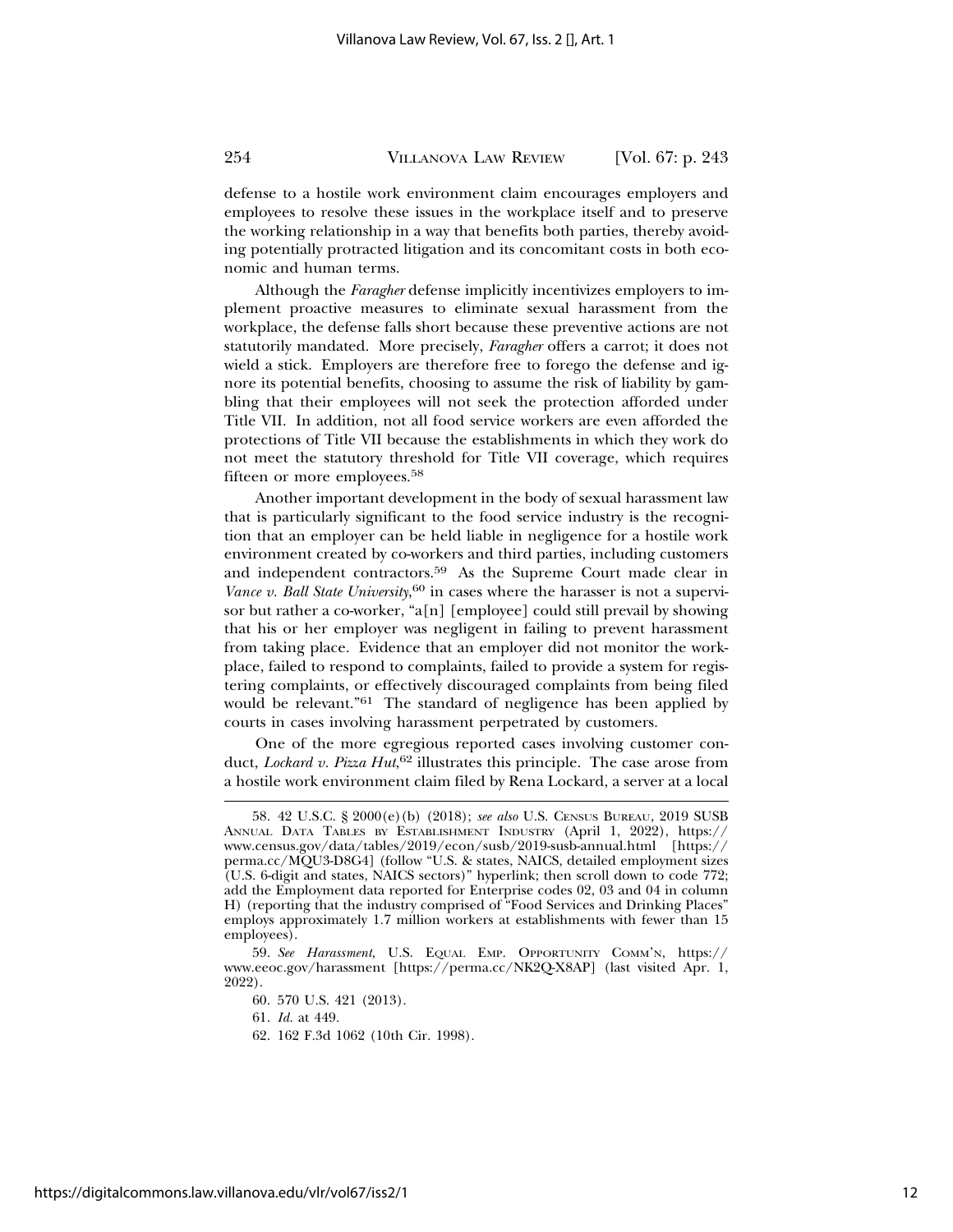defense to a hostile work environment claim encourages employers and employees to resolve these issues in the workplace itself and to preserve the working relationship in a way that benefits both parties, thereby avoiding potentially protracted litigation and its concomitant costs in both economic and human terms.

Although the *Faragher* defense implicitly incentivizes employers to implement proactive measures to eliminate sexual harassment from the workplace, the defense falls short because these preventive actions are not statutorily mandated. More precisely, *Faragher* offers a carrot; it does not wield a stick. Employers are therefore free to forego the defense and ignore its potential benefits, choosing to assume the risk of liability by gambling that their employees will not seek the protection afforded under Title VII. In addition, not all food service workers are even afforded the protections of Title VII because the establishments in which they work do not meet the statutory threshold for Title VII coverage, which requires fifteen or more employees.<sup>58</sup>

Another important development in the body of sexual harassment law that is particularly significant to the food service industry is the recognition that an employer can be held liable in negligence for a hostile work environment created by co-workers and third parties, including customers and independent contractors.59 As the Supreme Court made clear in *Vance v. Ball State University*, 60 in cases where the harasser is not a supervisor but rather a co-worker, "a[n] [employee] could still prevail by showing that his or her employer was negligent in failing to prevent harassment from taking place. Evidence that an employer did not monitor the workplace, failed to respond to complaints, failed to provide a system for registering complaints, or effectively discouraged complaints from being filed would be relevant."61 The standard of negligence has been applied by courts in cases involving harassment perpetrated by customers.

One of the more egregious reported cases involving customer conduct, *Lockard v. Pizza Hut*, 62 illustrates this principle. The case arose from a hostile work environment claim filed by Rena Lockard, a server at a local

<sup>58. 42</sup> U.S.C. § 2000(e)(b) (2018); *see also* U.S. CENSUS BUREAU, 2019 SUSB ANNUAL DATA TABLES BY ESTABLISHMENT INDUSTRY (April 1, 2022), https:// www.census.gov/data/tables/2019/econ/susb/2019-susb-annual.html [https:// perma.cc/MQU3-D8G4] (follow "U.S. & states, NAICS, detailed employment sizes (U.S. 6-digit and states, NAICS sectors)" hyperlink; then scroll down to code 772; add the Employment data reported for Enterprise codes 02, 03 and 04 in column H) (reporting that the industry comprised of "Food Services and Drinking Places" employs approximately 1.7 million workers at establishments with fewer than 15 employees).

<sup>59.</sup> *See Harassment*, U.S. EQUAL EMP. OPPORTUNITY COMM'N, https:// www.eeoc.gov/harassment [https://perma.cc/NK2Q-X8AP] (last visited Apr. 1, 2022).

<sup>60. 570</sup> U.S. 421 (2013).

<sup>61.</sup> *Id.* at 449.

<sup>62. 162</sup> F.3d 1062 (10th Cir. 1998).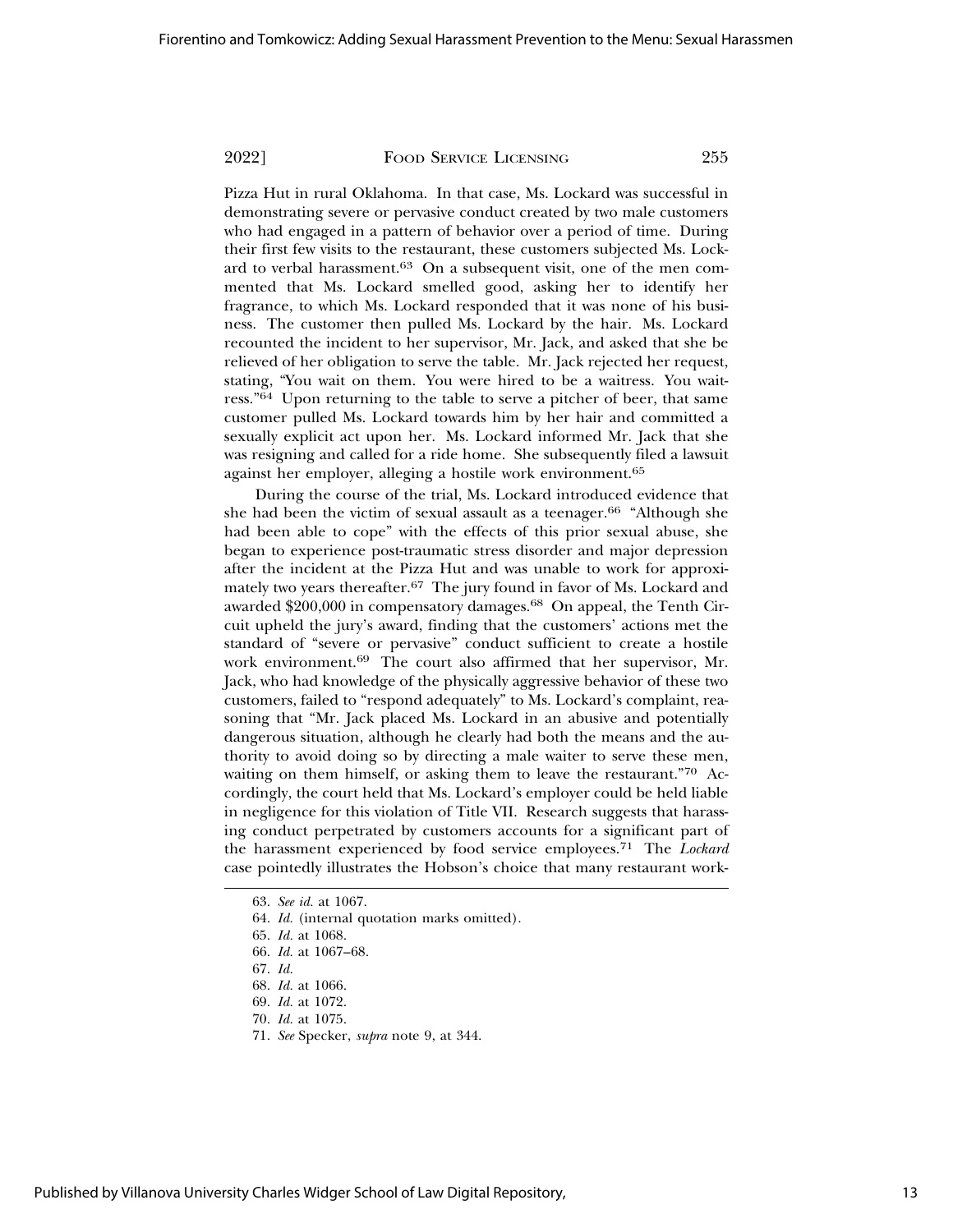Pizza Hut in rural Oklahoma. In that case, Ms. Lockard was successful in demonstrating severe or pervasive conduct created by two male customers who had engaged in a pattern of behavior over a period of time. During their first few visits to the restaurant, these customers subjected Ms. Lockard to verbal harassment.63 On a subsequent visit, one of the men commented that Ms. Lockard smelled good, asking her to identify her fragrance, to which Ms. Lockard responded that it was none of his business. The customer then pulled Ms. Lockard by the hair. Ms. Lockard recounted the incident to her supervisor, Mr. Jack, and asked that she be relieved of her obligation to serve the table. Mr. Jack rejected her request, stating, "You wait on them. You were hired to be a waitress. You wait-

ress."64 Upon returning to the table to serve a pitcher of beer, that same customer pulled Ms. Lockard towards him by her hair and committed a sexually explicit act upon her. Ms. Lockard informed Mr. Jack that she was resigning and called for a ride home. She subsequently filed a lawsuit against her employer, alleging a hostile work environment.<sup>65</sup>

During the course of the trial, Ms. Lockard introduced evidence that she had been the victim of sexual assault as a teenager.<sup>66</sup> "Although she had been able to cope" with the effects of this prior sexual abuse, she began to experience post-traumatic stress disorder and major depression after the incident at the Pizza Hut and was unable to work for approximately two years thereafter.67 The jury found in favor of Ms. Lockard and awarded \$200,000 in compensatory damages.<sup>68</sup> On appeal, the Tenth Circuit upheld the jury's award, finding that the customers' actions met the standard of "severe or pervasive" conduct sufficient to create a hostile work environment.69 The court also affirmed that her supervisor, Mr. Jack, who had knowledge of the physically aggressive behavior of these two customers, failed to "respond adequately" to Ms. Lockard's complaint, reasoning that "Mr. Jack placed Ms. Lockard in an abusive and potentially dangerous situation, although he clearly had both the means and the authority to avoid doing so by directing a male waiter to serve these men, waiting on them himself, or asking them to leave the restaurant."70 Accordingly, the court held that Ms. Lockard's employer could be held liable in negligence for this violation of Title VII. Research suggests that harassing conduct perpetrated by customers accounts for a significant part of the harassment experienced by food service employees.71 The *Lockard* case pointedly illustrates the Hobson's choice that many restaurant work-

<sup>63.</sup> *See id.* at 1067.

<sup>64.</sup> *Id.* (internal quotation marks omitted).

<sup>65.</sup> *Id.* at 1068.

<sup>66.</sup> *Id.* at 1067–68.

<sup>67.</sup> *Id.*

<sup>68.</sup> *Id.* at 1066.

<sup>69.</sup> *Id.* at 1072.

<sup>70.</sup> *Id.* at 1075.

<sup>71.</sup> *See* Specker, *supra* note 9, at 344.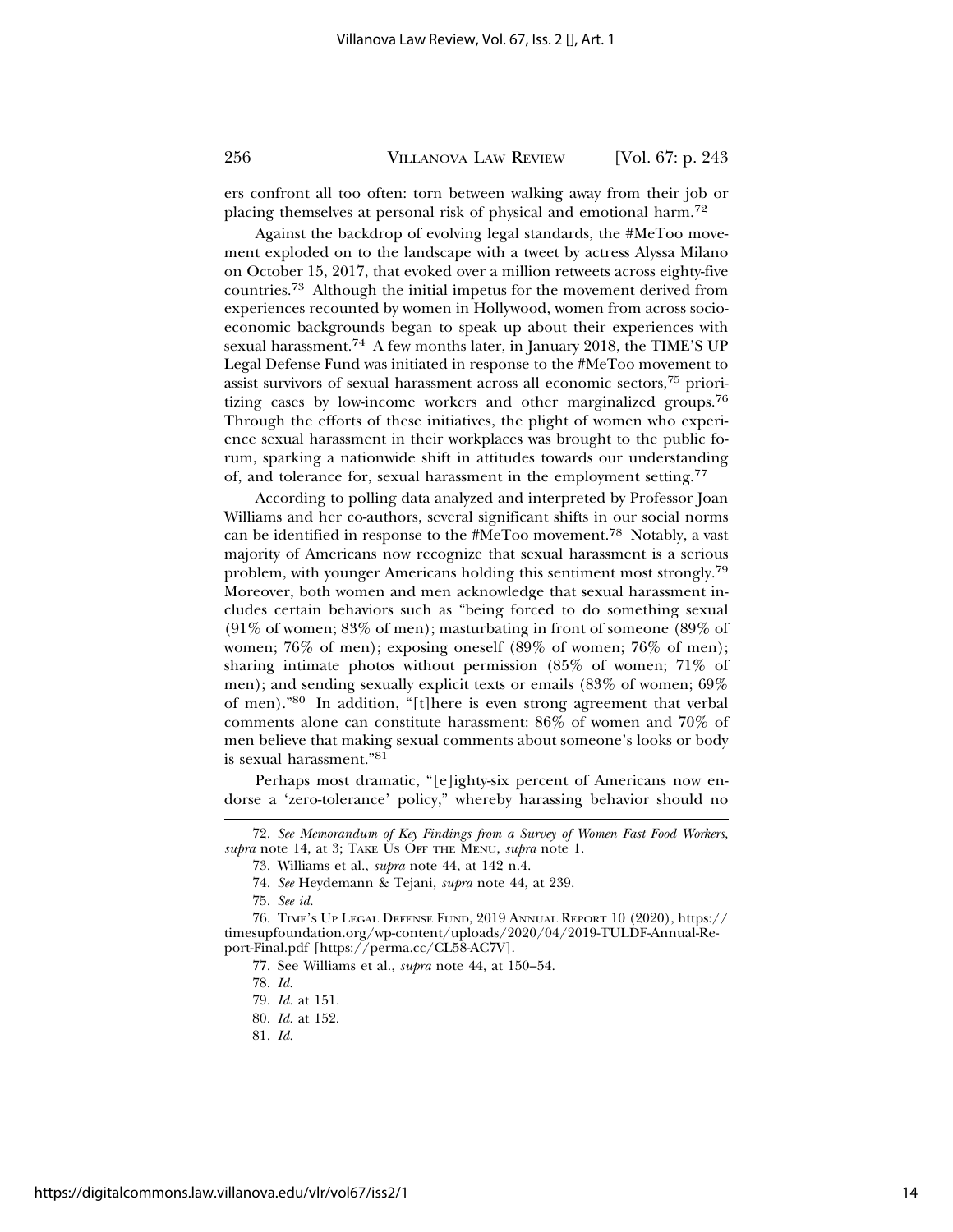ers confront all too often: torn between walking away from their job or placing themselves at personal risk of physical and emotional harm.<sup>72</sup>

Against the backdrop of evolving legal standards, the #MeToo movement exploded on to the landscape with a tweet by actress Alyssa Milano on October 15, 2017, that evoked over a million retweets across eighty-five countries.73 Although the initial impetus for the movement derived from experiences recounted by women in Hollywood, women from across socioeconomic backgrounds began to speak up about their experiences with sexual harassment.74 A few months later, in January 2018, the TIME'S UP Legal Defense Fund was initiated in response to the #MeToo movement to assist survivors of sexual harassment across all economic sectors,75 prioritizing cases by low-income workers and other marginalized groups.<sup>76</sup> Through the efforts of these initiatives, the plight of women who experience sexual harassment in their workplaces was brought to the public forum, sparking a nationwide shift in attitudes towards our understanding of, and tolerance for, sexual harassment in the employment setting.<sup>77</sup>

According to polling data analyzed and interpreted by Professor Joan Williams and her co-authors, several significant shifts in our social norms can be identified in response to the #MeToo movement.78 Notably, a vast majority of Americans now recognize that sexual harassment is a serious problem, with younger Americans holding this sentiment most strongly.<sup>79</sup> Moreover, both women and men acknowledge that sexual harassment includes certain behaviors such as "being forced to do something sexual (91% of women; 83% of men); masturbating in front of someone (89% of women; 76% of men); exposing oneself (89% of women; 76% of men); sharing intimate photos without permission (85% of women; 71% of men); and sending sexually explicit texts or emails (83% of women; 69% of men)."80 In addition, "[t]here is even strong agreement that verbal comments alone can constitute harassment: 86% of women and 70% of men believe that making sexual comments about someone's looks or body is sexual harassment."<sup>81</sup>

Perhaps most dramatic, "[e]ighty-six percent of Americans now endorse a 'zero-tolerance' policy," whereby harassing behavior should no

<sup>72.</sup> *See Memorandum of Key Findings from a Survey of Women Fast Food Workers, supra* note 14, at 3; TAKE US OFF THE MENU, *supra* note 1.

<sup>73.</sup> Williams et al., *supra* note 44, at 142 n.4.

<sup>74.</sup> *See* Heydemann & Tejani, *supra* note 44, at 239.

<sup>75.</sup> *See id.*

<sup>76.</sup> TIME'S UP LEGAL DEFENSE FUND, 2019 ANNUAL REPORT 10 (2020), https:// timesupfoundation.org/wp-content/uploads/2020/04/2019-TULDF-Annual-Report-Final.pdf [https://perma.cc/CL58-AC7V].

<sup>77.</sup> See Williams et al., *supra* note 44, at 150–54.

<sup>78.</sup> *Id.*

<sup>79.</sup> *Id.* at 151.

<sup>80.</sup> *Id.* at 152.

<sup>81.</sup> *Id.*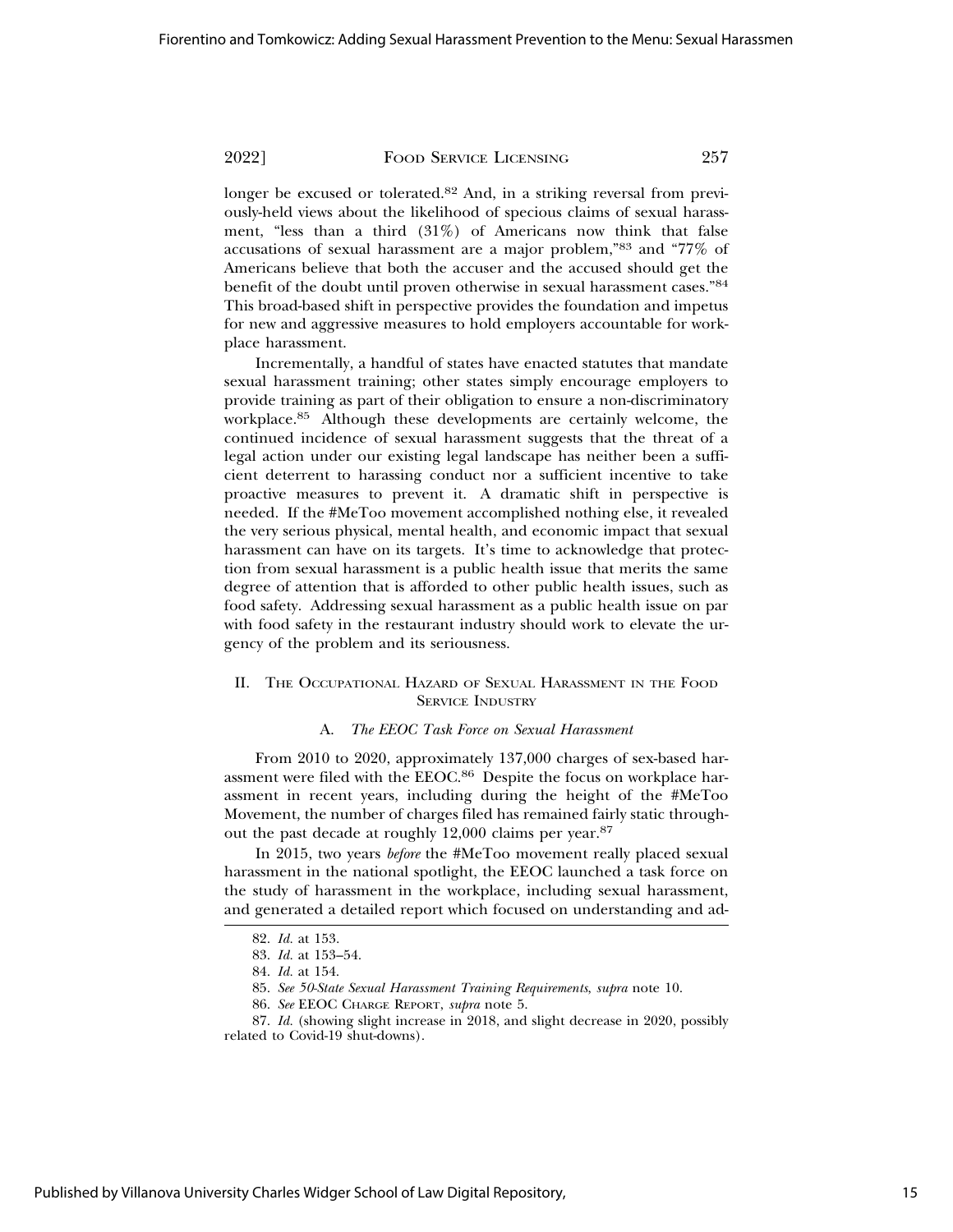longer be excused or tolerated.82 And, in a striking reversal from previously-held views about the likelihood of specious claims of sexual harassment, "less than a third (31%) of Americans now think that false accusations of sexual harassment are a major problem,"83 and "77% of Americans believe that both the accuser and the accused should get the benefit of the doubt until proven otherwise in sexual harassment cases."<sup>84</sup> This broad-based shift in perspective provides the foundation and impetus for new and aggressive measures to hold employers accountable for workplace harassment.

Incrementally, a handful of states have enacted statutes that mandate sexual harassment training; other states simply encourage employers to provide training as part of their obligation to ensure a non-discriminatory workplace.85 Although these developments are certainly welcome, the continued incidence of sexual harassment suggests that the threat of a legal action under our existing legal landscape has neither been a sufficient deterrent to harassing conduct nor a sufficient incentive to take proactive measures to prevent it. A dramatic shift in perspective is needed. If the #MeToo movement accomplished nothing else, it revealed the very serious physical, mental health, and economic impact that sexual harassment can have on its targets. It's time to acknowledge that protection from sexual harassment is a public health issue that merits the same degree of attention that is afforded to other public health issues, such as food safety. Addressing sexual harassment as a public health issue on par with food safety in the restaurant industry should work to elevate the urgency of the problem and its seriousness.

# II. THE OCCUPATIONAL HAZARD OF SEXUAL HARASSMENT IN THE FOOD SERVICE INDUSTRY

#### A. *The EEOC Task Force on Sexual Harassment*

From 2010 to 2020, approximately 137,000 charges of sex-based harassment were filed with the EEOC.86 Despite the focus on workplace harassment in recent years, including during the height of the #MeToo Movement, the number of charges filed has remained fairly static throughout the past decade at roughly 12,000 claims per year.<sup>87</sup>

In 2015, two years *before* the #MeToo movement really placed sexual harassment in the national spotlight, the EEOC launched a task force on the study of harassment in the workplace, including sexual harassment, and generated a detailed report which focused on understanding and ad-

<sup>82.</sup> *Id.* at 153.

<sup>83.</sup> *Id.* at 153–54.

<sup>84.</sup> *Id.* at 154.

<sup>85.</sup> *See 50-State Sexual Harassment Training Requirements*, *supra* note 10.

<sup>86.</sup> *See* EEOC CHARGE REPORT, *supra* note 5.

<sup>87.</sup> *Id.* (showing slight increase in 2018, and slight decrease in 2020, possibly related to Covid-19 shut-downs).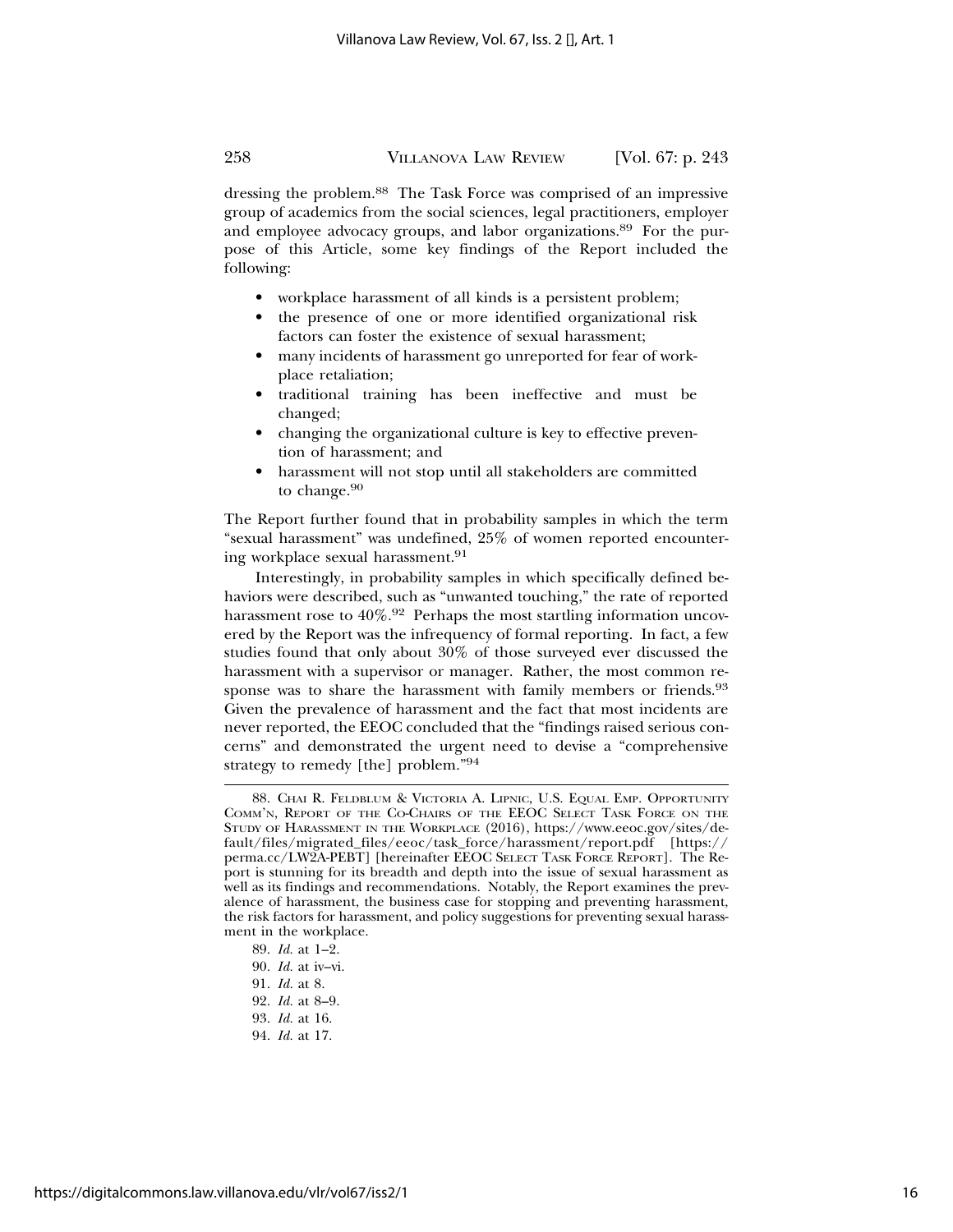dressing the problem.88 The Task Force was comprised of an impressive group of academics from the social sciences, legal practitioners, employer and employee advocacy groups, and labor organizations.89 For the purpose of this Article, some key findings of the Report included the following:

- workplace harassment of all kinds is a persistent problem;
- the presence of one or more identified organizational risk factors can foster the existence of sexual harassment;
- many incidents of harassment go unreported for fear of workplace retaliation;
- traditional training has been ineffective and must be changed;
- changing the organizational culture is key to effective prevention of harassment; and
- harassment will not stop until all stakeholders are committed to change.<sup>90</sup>

The Report further found that in probability samples in which the term "sexual harassment" was undefined, 25% of women reported encountering workplace sexual harassment.<sup>91</sup>

Interestingly, in probability samples in which specifically defined behaviors were described, such as "unwanted touching," the rate of reported harassment rose to  $40\%$ .<sup>92</sup> Perhaps the most startling information uncovered by the Report was the infrequency of formal reporting. In fact, a few studies found that only about 30% of those surveyed ever discussed the harassment with a supervisor or manager. Rather, the most common response was to share the harassment with family members or friends.<sup>93</sup> Given the prevalence of harassment and the fact that most incidents are never reported, the EEOC concluded that the "findings raised serious concerns" and demonstrated the urgent need to devise a "comprehensive strategy to remedy [the] problem."<sup>94</sup>

<sup>88.</sup> CHAI R. FELDBLUM & VICTORIA A. LIPNIC, U.S. EQUAL EMP. OPPORTUNITY COMM'N, REPORT OF THE CO-CHAIRS OF THE EEOC SELECT TASK FORCE ON THE STUDY OF HARASSMENT IN THE WORKPLACE (2016), https://www.eeoc.gov/sites/default/files/migrated\_files/eeoc/task\_force/harassment/report.pdf [https:// perma.cc/LW2A-PEBT] [hereinafter EEOC SELECT TASK FORCE REPORT]. The Report is stunning for its breadth and depth into the issue of sexual harassment as well as its findings and recommendations. Notably, the Report examines the prevalence of harassment, the business case for stopping and preventing harassment, the risk factors for harassment, and policy suggestions for preventing sexual harassment in the workplace.

<sup>89.</sup> *Id.* at 1–2.

<sup>90.</sup> *Id.* at iv–vi.

<sup>91.</sup> *Id.* at 8.

<sup>92.</sup> *Id.* at 8–9.

<sup>93.</sup> *Id.* at 16.

<sup>94.</sup> *Id.* at 17.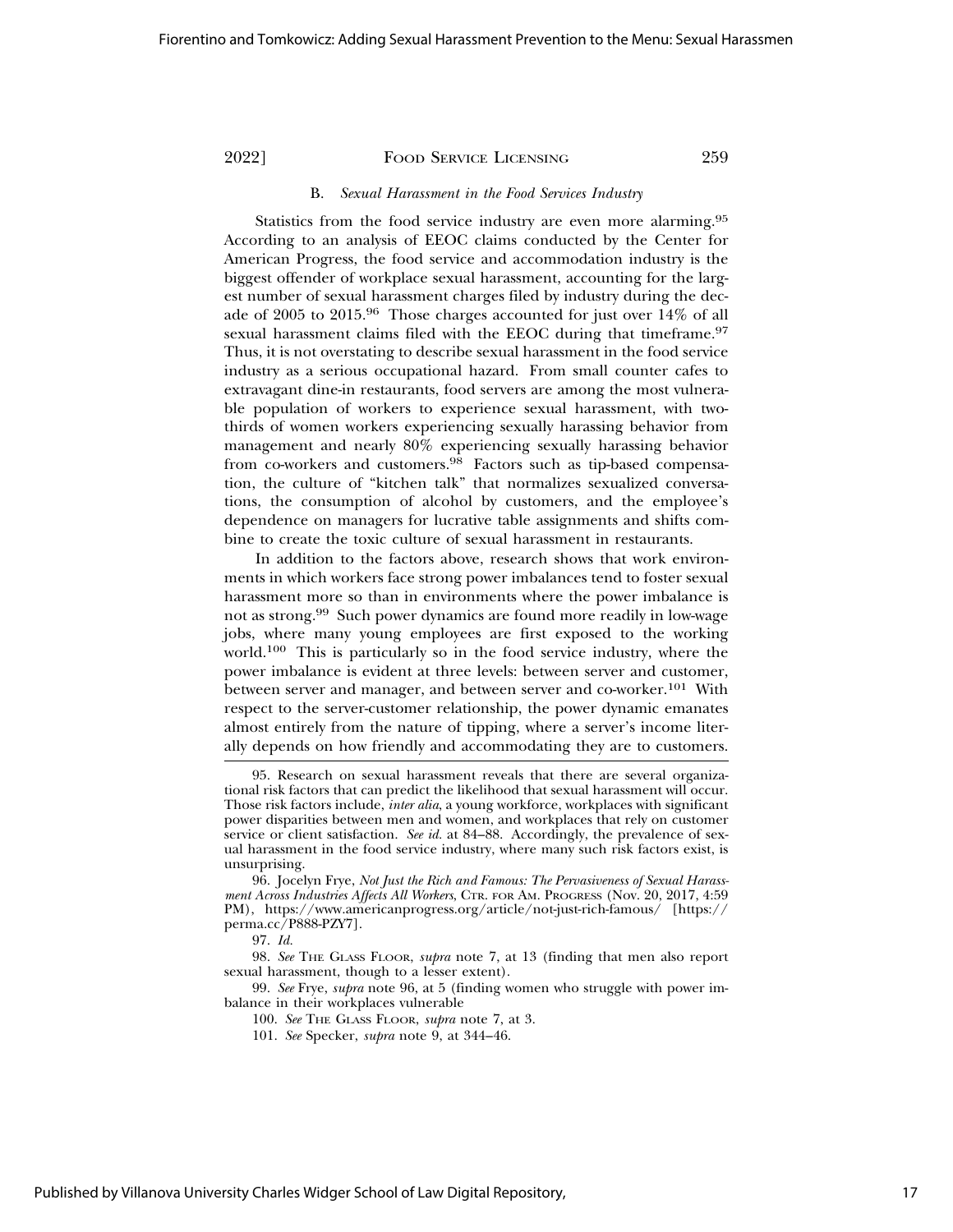#### B. *Sexual Harassment in the Food Services Industry*

Statistics from the food service industry are even more alarming.<sup>95</sup> According to an analysis of EEOC claims conducted by the Center for American Progress, the food service and accommodation industry is the biggest offender of workplace sexual harassment, accounting for the largest number of sexual harassment charges filed by industry during the decade of 2005 to 2015.96 Those charges accounted for just over 14% of all sexual harassment claims filed with the EEOC during that timeframe.<sup>97</sup> Thus, it is not overstating to describe sexual harassment in the food service industry as a serious occupational hazard. From small counter cafes to extravagant dine-in restaurants, food servers are among the most vulnerable population of workers to experience sexual harassment, with twothirds of women workers experiencing sexually harassing behavior from management and nearly 80% experiencing sexually harassing behavior from co-workers and customers.<sup>98</sup> Factors such as tip-based compensation, the culture of "kitchen talk" that normalizes sexualized conversations, the consumption of alcohol by customers, and the employee's dependence on managers for lucrative table assignments and shifts combine to create the toxic culture of sexual harassment in restaurants.

In addition to the factors above, research shows that work environments in which workers face strong power imbalances tend to foster sexual harassment more so than in environments where the power imbalance is not as strong.99 Such power dynamics are found more readily in low-wage jobs, where many young employees are first exposed to the working world.100 This is particularly so in the food service industry, where the power imbalance is evident at three levels: between server and customer, between server and manager, and between server and co-worker.<sup>101</sup> With respect to the server-customer relationship, the power dynamic emanates almost entirely from the nature of tipping, where a server's income literally depends on how friendly and accommodating they are to customers.

97. *Id.*

99. *See* Frye, *supra* note 96, at 5 (finding women who struggle with power imbalance in their workplaces vulnerable

<sup>95.</sup> Research on sexual harassment reveals that there are several organizational risk factors that can predict the likelihood that sexual harassment will occur. Those risk factors include, *inter alia*, a young workforce, workplaces with significant power disparities between men and women, and workplaces that rely on customer service or client satisfaction. *See id.* at 84–88. Accordingly, the prevalence of sexual harassment in the food service industry, where many such risk factors exist, is unsurprising.

<sup>96.</sup> Jocelyn Frye, *Not Just the Rich and Famous: The Pervasiveness of Sexual Harassment Across Industries Affects All Workers*, CTR. FOR AM. PROGRESS (Nov. 20, 2017, 4:59 PM), https://www.americanprogress.org/article/not-just-rich-famous/ [https:// perma.cc/P888-PZY7].

<sup>98.</sup> *See* THE GLASS FLOOR, *supra* note 7, at 13 (finding that men also report sexual harassment, though to a lesser extent).

<sup>100.</sup> *See* THE GLASS FLOOR, *supra* note 7, at 3.

<sup>101.</sup> *See* Specker, *supra* note 9, at 344–46.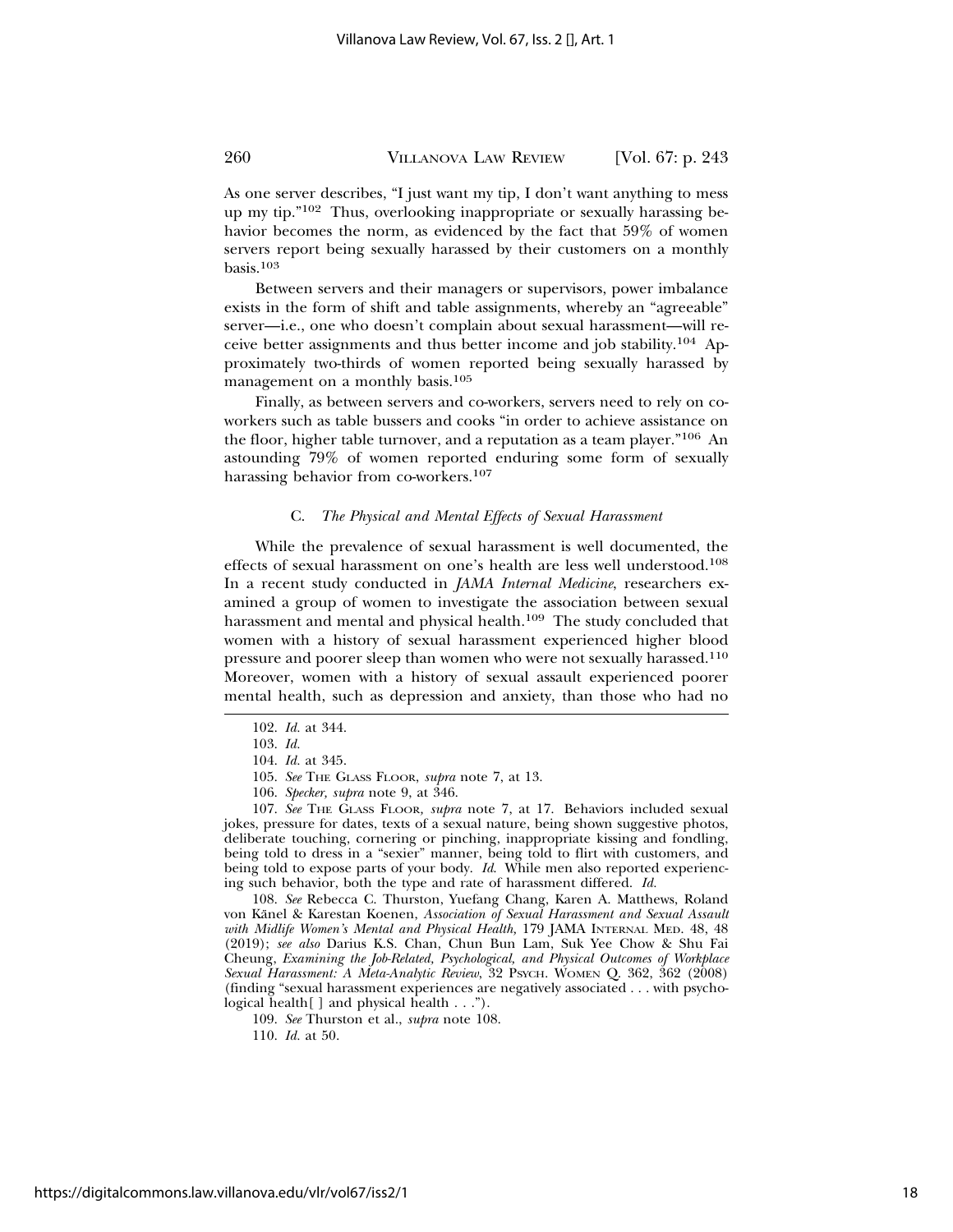As one server describes, "I just want my tip, I don't want anything to mess up my tip."102 Thus, overlooking inappropriate or sexually harassing behavior becomes the norm, as evidenced by the fact that 59% of women servers report being sexually harassed by their customers on a monthly basis.103

Between servers and their managers or supervisors, power imbalance exists in the form of shift and table assignments, whereby an "agreeable" server—i.e., one who doesn't complain about sexual harassment—will receive better assignments and thus better income and job stability.104 Approximately two-thirds of women reported being sexually harassed by management on a monthly basis.<sup>105</sup>

Finally, as between servers and co-workers, servers need to rely on coworkers such as table bussers and cooks "in order to achieve assistance on the floor, higher table turnover, and a reputation as a team player."106 An astounding 79% of women reported enduring some form of sexually harassing behavior from co-workers.<sup>107</sup>

#### C. *The Physical and Mental Effects of Sexual Harassment*

While the prevalence of sexual harassment is well documented, the effects of sexual harassment on one's health are less well understood.<sup>108</sup> In a recent study conducted in *JAMA Internal Medicine*, researchers examined a group of women to investigate the association between sexual harassment and mental and physical health.<sup>109</sup> The study concluded that women with a history of sexual harassment experienced higher blood pressure and poorer sleep than women who were not sexually harassed.<sup>110</sup> Moreover, women with a history of sexual assault experienced poorer mental health, such as depression and anxiety, than those who had no

- 105. *See* THE GLASS FLOOR, *supra* note 7, at 13.
- 106. *Specker, supra* note 9, at 346.

107. *See* THE GLASS FLOOR*, supra* note 7, at 17. Behaviors included sexual jokes, pressure for dates, texts of a sexual nature, being shown suggestive photos, deliberate touching, cornering or pinching, inappropriate kissing and fondling, being told to dress in a "sexier" manner, being told to flirt with customers, and being told to expose parts of your body. *Id.* While men also reported experiencing such behavior, both the type and rate of harassment differed. *Id.*

108. *See* Rebecca C. Thurston, Yuefang Chang, Karen A. Matthews, Roland von Känel & Karestan Koenen, Association of Sexual Harassment and Sexual Assault *with Midlife Women's Mental and Physical Health,* 179 JAMA INTERNAL MED. 48, 48 (2019); *see also* Darius K.S. Chan, Chun Bun Lam, Suk Yee Chow & Shu Fai Cheung, *Examining the Job-Related, Psychological, and Physical Outcomes of Workplace Sexual Harassment: A Meta-Analytic Review*, 32 PSYCH. WOMEN Q. 362, 362 (2008) (finding "sexual harassment experiences are negatively associated . . . with psychological health[ ] and physical health . . .").

<sup>102.</sup> *Id.* at 344.

<sup>103.</sup> *Id.*

<sup>104.</sup> *Id.* at 345.

<sup>109.</sup> *See* Thurston et al., *supra* note 108.

<sup>110.</sup> *Id.* at 50.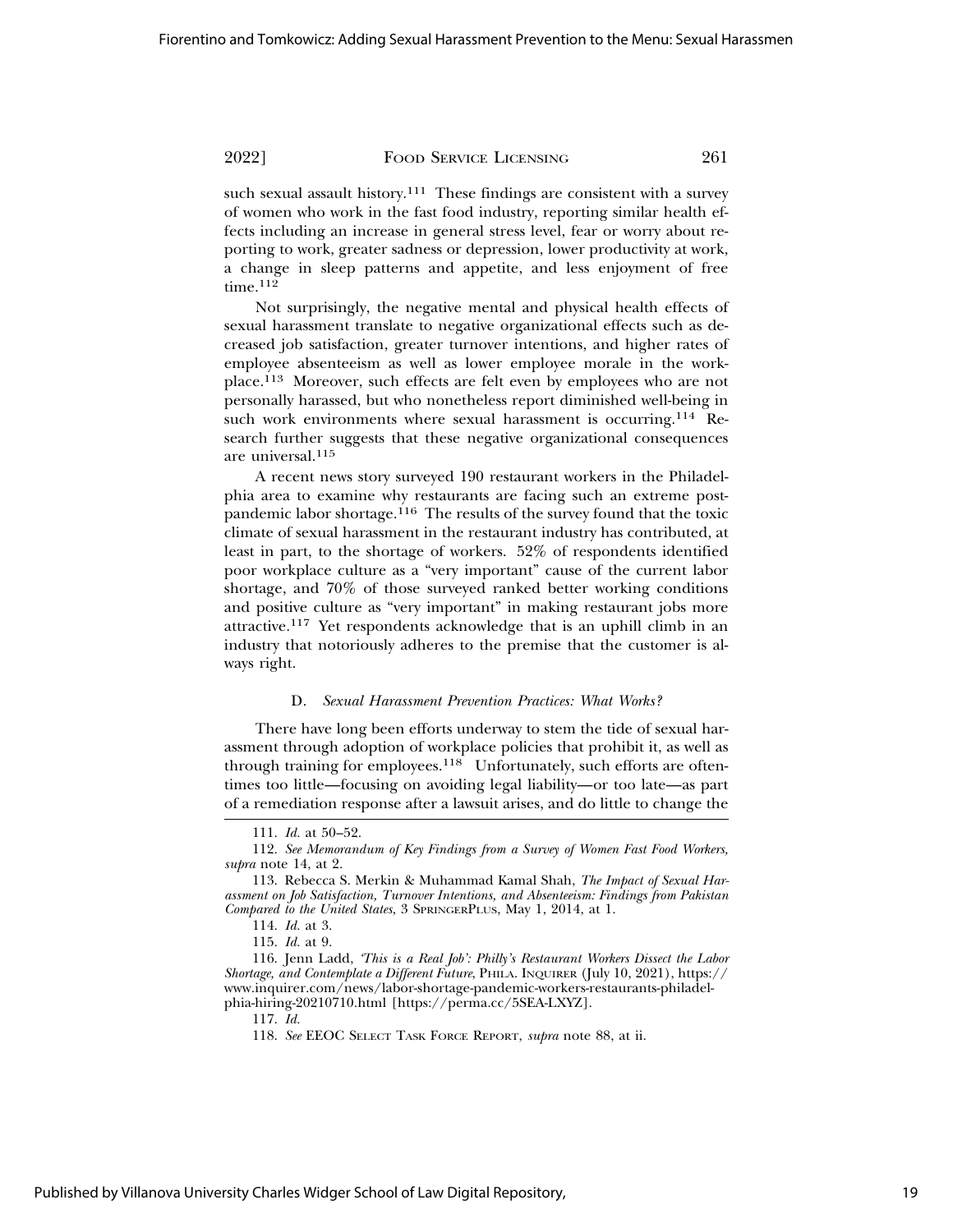such sexual assault history.<sup>111</sup> These findings are consistent with a survey of women who work in the fast food industry, reporting similar health effects including an increase in general stress level, fear or worry about reporting to work, greater sadness or depression, lower productivity at work, a change in sleep patterns and appetite, and less enjoyment of free time.<sup>112</sup>

Not surprisingly, the negative mental and physical health effects of sexual harassment translate to negative organizational effects such as decreased job satisfaction, greater turnover intentions, and higher rates of employee absenteeism as well as lower employee morale in the workplace.113 Moreover, such effects are felt even by employees who are not personally harassed, but who nonetheless report diminished well-being in such work environments where sexual harassment is occurring.<sup>114</sup> Research further suggests that these negative organizational consequences are universal.<sup>115</sup>

A recent news story surveyed 190 restaurant workers in the Philadelphia area to examine why restaurants are facing such an extreme postpandemic labor shortage.116 The results of the survey found that the toxic climate of sexual harassment in the restaurant industry has contributed, at least in part, to the shortage of workers. 52% of respondents identified poor workplace culture as a "very important" cause of the current labor shortage, and 70% of those surveyed ranked better working conditions and positive culture as "very important" in making restaurant jobs more attractive.117 Yet respondents acknowledge that is an uphill climb in an industry that notoriously adheres to the premise that the customer is always right.

### D. *Sexual Harassment Prevention Practices: What Works?*

There have long been efforts underway to stem the tide of sexual harassment through adoption of workplace policies that prohibit it, as well as through training for employees.<sup>118</sup> Unfortunately, such efforts are oftentimes too little—focusing on avoiding legal liability—or too late—as part of a remediation response after a lawsuit arises, and do little to change the

<sup>111.</sup> *Id.* at 50–52.

<sup>112.</sup> *See Memorandum of Key Findings from a Survey of Women Fast Food Workers, supra* note 14, at 2.

<sup>113.</sup> Rebecca S. Merkin & Muhammad Kamal Shah, *The Impact of Sexual Harassment on Job Satisfaction, Turnover Intentions, and Absenteeism: Findings from Pakistan Compared to the United States*, 3 SPRINGERPLUS, May 1, 2014, at 1.

<sup>114.</sup> *Id.* at 3.

<sup>115.</sup> *Id.* at 9.

<sup>116.</sup> Jenn Ladd, *'This is a Real Job': Philly's Restaurant Workers Dissect the Labor Shortage, and Contemplate a Different Future*, PHILA. INQUIRER (July 10, 2021), https:// www.inquirer.com/news/labor-shortage-pandemic-workers-restaurants-philadelphia-hiring-20210710.html [https://perma.cc/5SEA-LXYZ].

<sup>117.</sup> *Id.*

<sup>118.</sup> *See* EEOC SELECT TASK FORCE REPORT, *supra* note 88, at ii.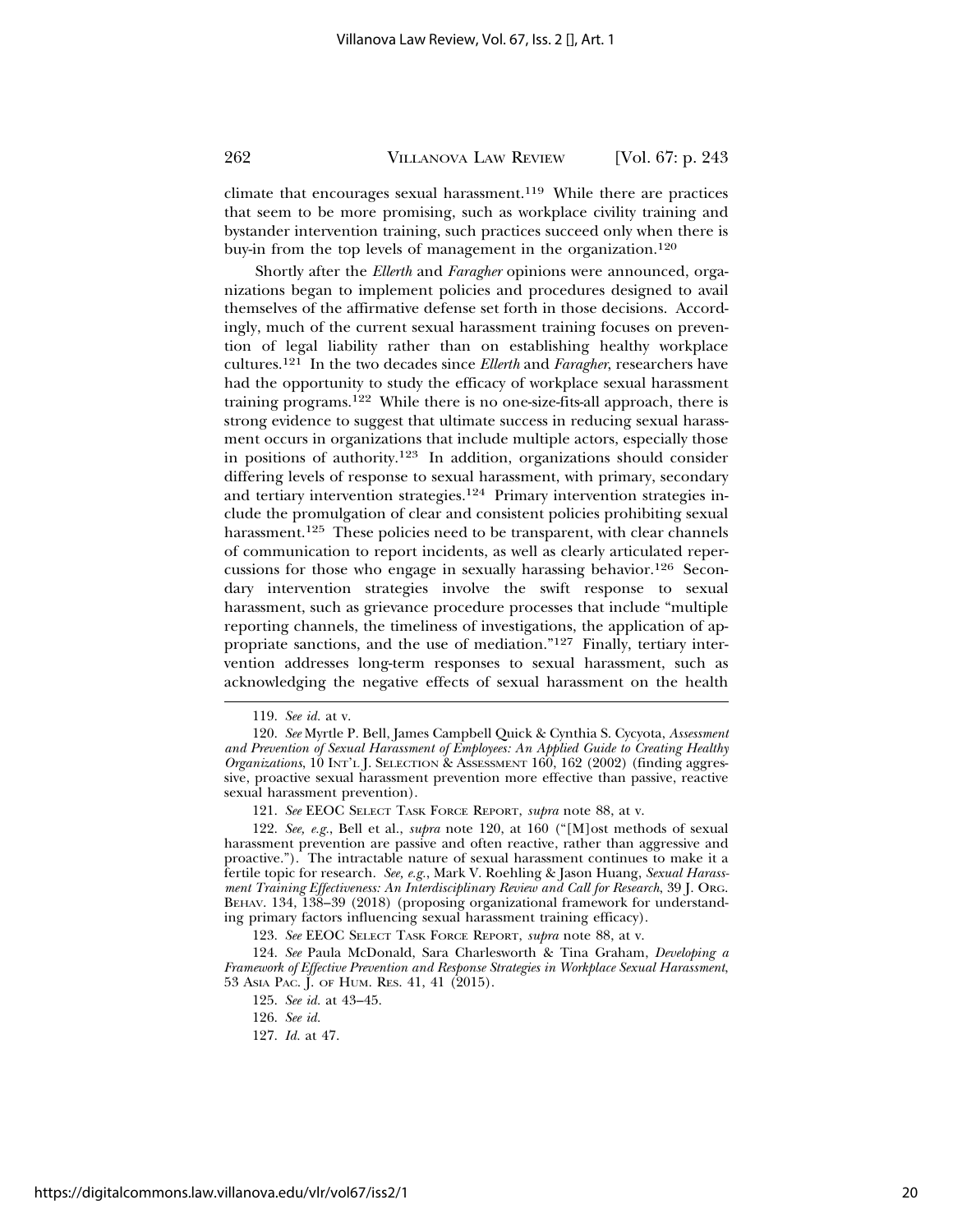climate that encourages sexual harassment.<sup>119</sup> While there are practices that seem to be more promising, such as workplace civility training and bystander intervention training, such practices succeed only when there is buy-in from the top levels of management in the organization.<sup>120</sup>

Shortly after the *Ellerth* and *Faragher* opinions were announced, organizations began to implement policies and procedures designed to avail themselves of the affirmative defense set forth in those decisions. Accordingly, much of the current sexual harassment training focuses on prevention of legal liability rather than on establishing healthy workplace cultures.121 In the two decades since *Ellerth* and *Faragher*, researchers have had the opportunity to study the efficacy of workplace sexual harassment training programs.122 While there is no one-size-fits-all approach, there is strong evidence to suggest that ultimate success in reducing sexual harassment occurs in organizations that include multiple actors, especially those in positions of authority.123 In addition, organizations should consider differing levels of response to sexual harassment, with primary, secondary and tertiary intervention strategies.124 Primary intervention strategies include the promulgation of clear and consistent policies prohibiting sexual harassment.<sup>125</sup> These policies need to be transparent, with clear channels of communication to report incidents, as well as clearly articulated repercussions for those who engage in sexually harassing behavior.126 Secondary intervention strategies involve the swift response to sexual harassment, such as grievance procedure processes that include "multiple reporting channels, the timeliness of investigations, the application of appropriate sanctions, and the use of mediation."127 Finally, tertiary intervention addresses long-term responses to sexual harassment, such as acknowledging the negative effects of sexual harassment on the health

<sup>119.</sup> *See id.* at v.

<sup>120.</sup> *See* Myrtle P. Bell, James Campbell Quick & Cynthia S. Cycyota, *Assessment and Prevention of Sexual Harassment of Employees: An Applied Guide to Creating Healthy Organizations*, 10 INT'L J. SELECTION & ASSESSMENT 160, 162 (2002) (finding aggressive, proactive sexual harassment prevention more effective than passive, reactive sexual harassment prevention).

<sup>121.</sup> *See* EEOC SELECT TASK FORCE REPORT, *supra* note 88, at v.

<sup>122.</sup> *See, e.g.*, Bell et al., *supra* note 120, at 160 ("[M]ost methods of sexual harassment prevention are passive and often reactive, rather than aggressive and proactive."). The intractable nature of sexual harassment continues to make it a fertile topic for research. *See, e.g.*, Mark V. Roehling & Jason Huang, *Sexual Harassment Training Effectiveness: An Interdisciplinary Review and Call for Research*, 39 J. ORG. BEHAV. 134, 138–39 (2018) (proposing organizational framework for understanding primary factors influencing sexual harassment training efficacy).

<sup>123.</sup> *See* EEOC SELECT TASK FORCE REPORT, *supra* note 88, at v.

<sup>124.</sup> *See* Paula McDonald, Sara Charlesworth & Tina Graham, *Developing a Framework of Effective Prevention and Response Strategies in Workplace Sexual Harassment*, 53 ASIA PAC. J. OF HUM. RES. 41, 41 (2015).

<sup>125.</sup> *See id.* at 43–45.

<sup>126.</sup> *See id.*

<sup>127.</sup> *Id.* at 47.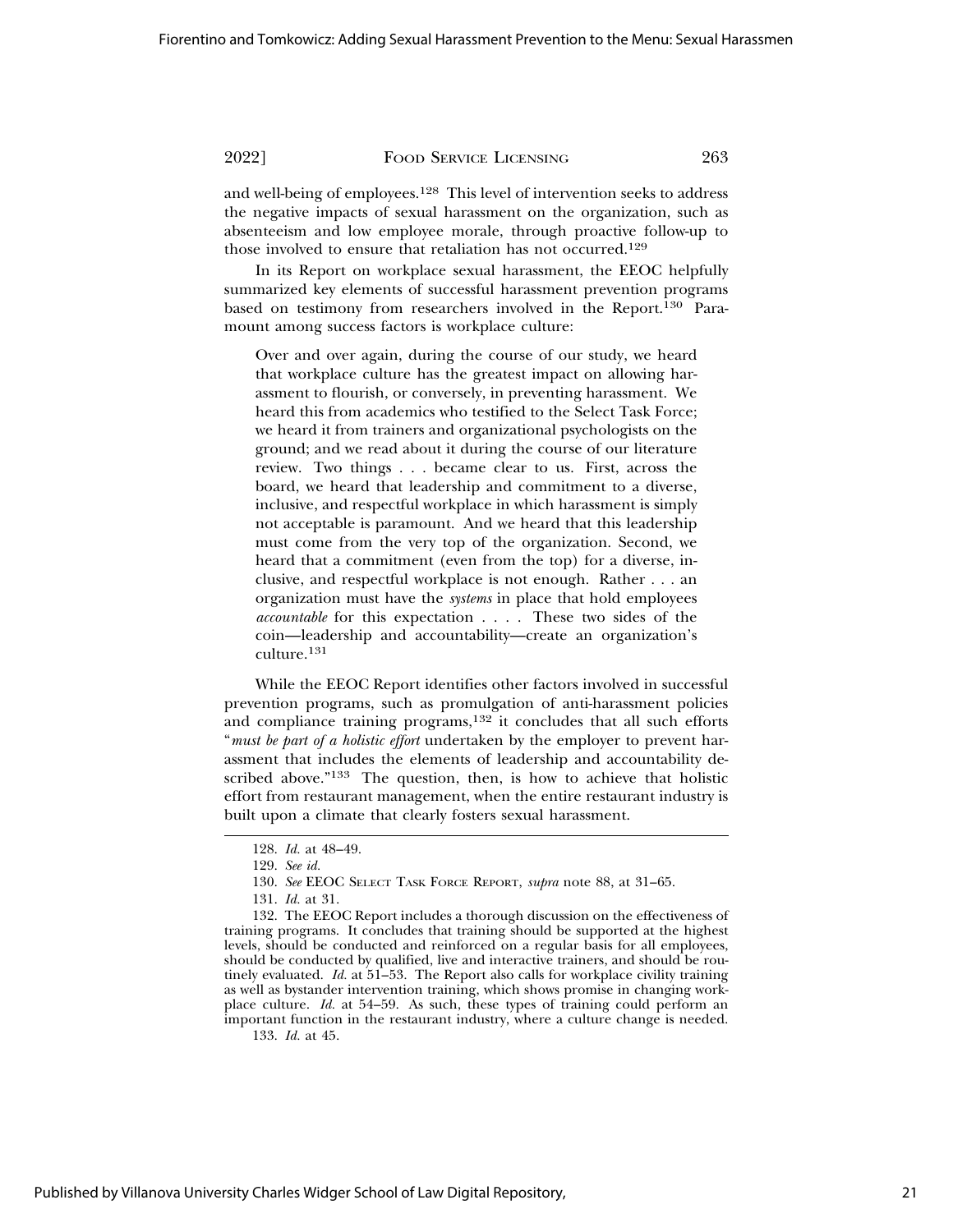and well-being of employees.128 This level of intervention seeks to address the negative impacts of sexual harassment on the organization, such as absenteeism and low employee morale, through proactive follow-up to those involved to ensure that retaliation has not occurred.<sup>129</sup>

In its Report on workplace sexual harassment, the EEOC helpfully summarized key elements of successful harassment prevention programs based on testimony from researchers involved in the Report.130 Paramount among success factors is workplace culture:

Over and over again, during the course of our study, we heard that workplace culture has the greatest impact on allowing harassment to flourish, or conversely, in preventing harassment. We heard this from academics who testified to the Select Task Force; we heard it from trainers and organizational psychologists on the ground; and we read about it during the course of our literature review. Two things . . . became clear to us. First, across the board, we heard that leadership and commitment to a diverse, inclusive, and respectful workplace in which harassment is simply not acceptable is paramount. And we heard that this leadership must come from the very top of the organization. Second, we heard that a commitment (even from the top) for a diverse, inclusive, and respectful workplace is not enough. Rather . . . an organization must have the *systems* in place that hold employees *accountable* for this expectation . . . . These two sides of the coin—leadership and accountability—create an organization's culture.131

While the EEOC Report identifies other factors involved in successful prevention programs, such as promulgation of anti-harassment policies and compliance training programs,<sup>132</sup> it concludes that all such efforts "*must be part of a holistic effort* undertaken by the employer to prevent harassment that includes the elements of leadership and accountability described above."133 The question, then, is how to achieve that holistic effort from restaurant management, when the entire restaurant industry is built upon a climate that clearly fosters sexual harassment.

132. The EEOC Report includes a thorough discussion on the effectiveness of training programs. It concludes that training should be supported at the highest levels, should be conducted and reinforced on a regular basis for all employees, should be conducted by qualified, live and interactive trainers, and should be routinely evaluated. *Id.* at 51–53. The Report also calls for workplace civility training as well as bystander intervention training, which shows promise in changing workplace culture. *Id.* at 54–59. As such, these types of training could perform an important function in the restaurant industry, where a culture change is needed.

133. *Id.* at 45.

<sup>128.</sup> *Id.* at 48–49.

<sup>129.</sup> *See id.*

<sup>130.</sup> *See* EEOC SELECT TASK FORCE REPORT, *supra* note 88, at 31–65.

<sup>131.</sup> *Id.* at 31.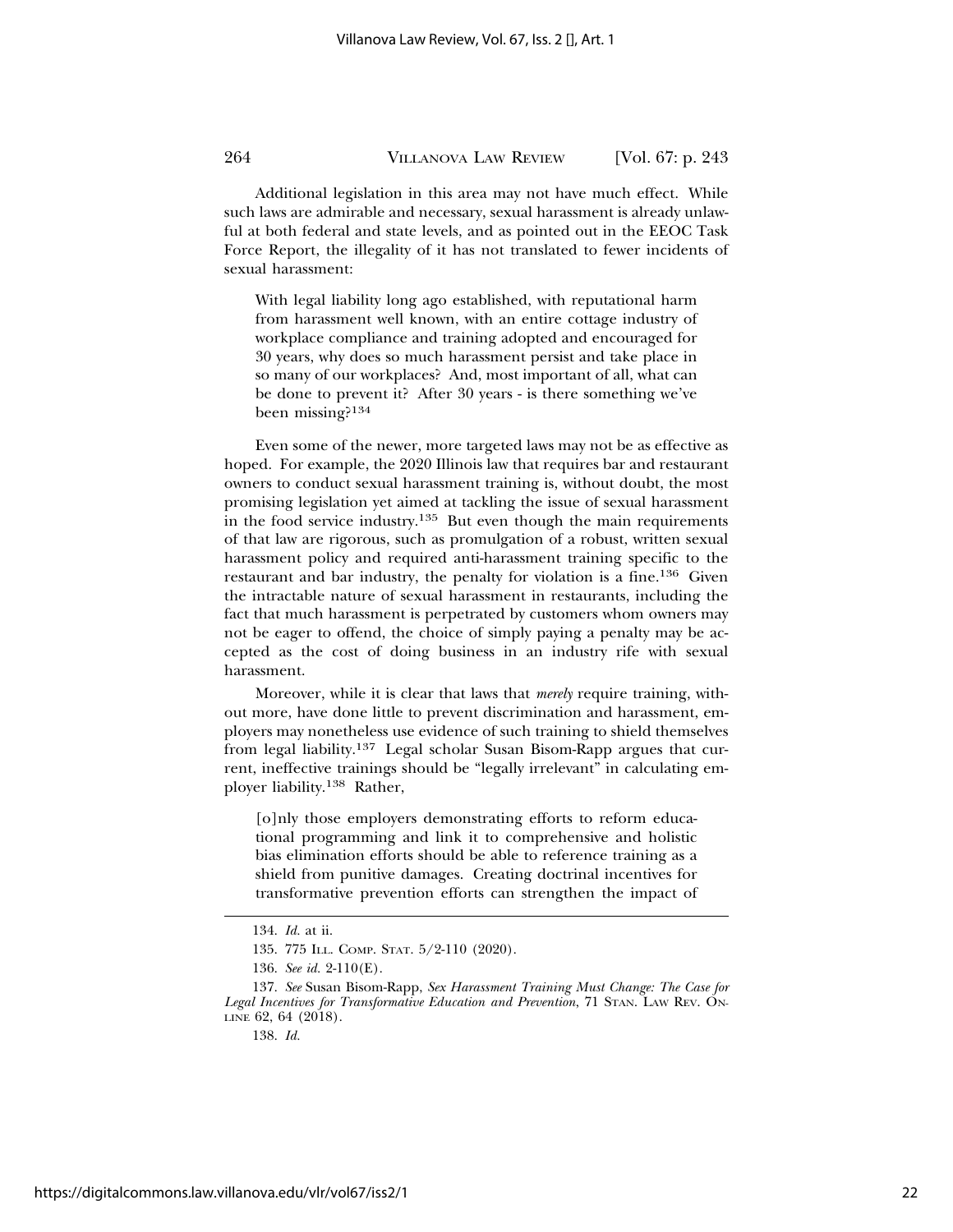Additional legislation in this area may not have much effect. While such laws are admirable and necessary, sexual harassment is already unlawful at both federal and state levels, and as pointed out in the EEOC Task Force Report, the illegality of it has not translated to fewer incidents of sexual harassment:

With legal liability long ago established, with reputational harm from harassment well known, with an entire cottage industry of workplace compliance and training adopted and encouraged for 30 years, why does so much harassment persist and take place in so many of our workplaces? And, most important of all, what can be done to prevent it? After 30 years - is there something we've been missing?<sup>134</sup>

Even some of the newer, more targeted laws may not be as effective as hoped. For example, the 2020 Illinois law that requires bar and restaurant owners to conduct sexual harassment training is, without doubt, the most promising legislation yet aimed at tackling the issue of sexual harassment in the food service industry.135 But even though the main requirements of that law are rigorous, such as promulgation of a robust, written sexual harassment policy and required anti-harassment training specific to the restaurant and bar industry, the penalty for violation is a fine.136 Given the intractable nature of sexual harassment in restaurants, including the fact that much harassment is perpetrated by customers whom owners may not be eager to offend, the choice of simply paying a penalty may be accepted as the cost of doing business in an industry rife with sexual harassment.

Moreover, while it is clear that laws that *merely* require training, without more, have done little to prevent discrimination and harassment, employers may nonetheless use evidence of such training to shield themselves from legal liability.137 Legal scholar Susan Bisom-Rapp argues that current, ineffective trainings should be "legally irrelevant" in calculating employer liability.138 Rather,

[o]nly those employers demonstrating efforts to reform educational programming and link it to comprehensive and holistic bias elimination efforts should be able to reference training as a shield from punitive damages. Creating doctrinal incentives for transformative prevention efforts can strengthen the impact of

<sup>134.</sup> *Id.* at ii.

<sup>135. 775</sup> ILL. COMP. STAT. 5/2-110 (2020).

<sup>136.</sup> *See id.* 2-110(E).

<sup>137.</sup> *See* Susan Bisom-Rapp, *Sex Harassment Training Must Change: The Case for Legal Incentives for Transformative Education and Prevention*, 71 STAN. LAW REV. ON-LINE 62, 64 (2018).

<sup>138.</sup> *Id.*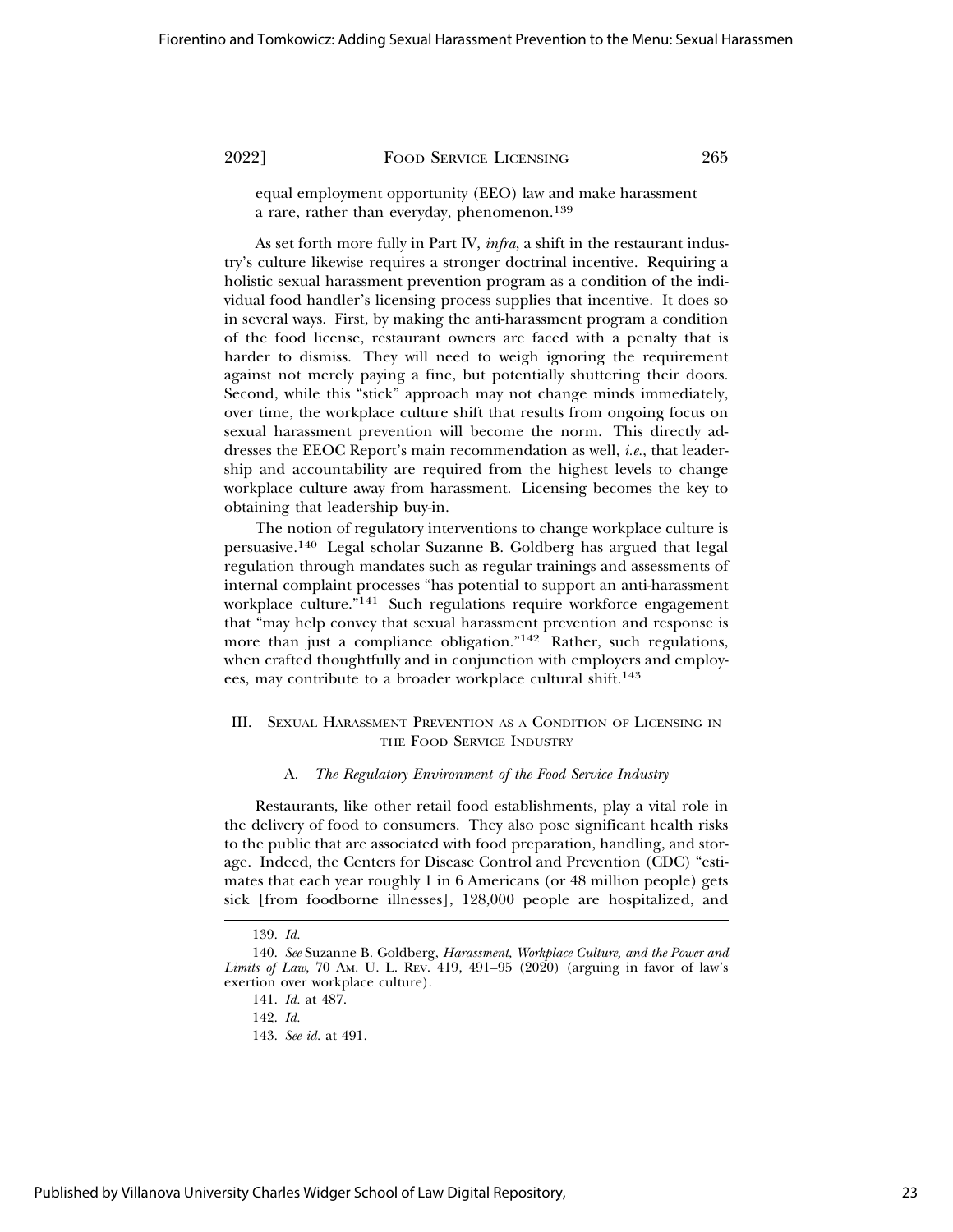equal employment opportunity (EEO) law and make harassment a rare, rather than everyday, phenomenon.<sup>139</sup>

As set forth more fully in Part IV, *infra*, a shift in the restaurant industry's culture likewise requires a stronger doctrinal incentive. Requiring a holistic sexual harassment prevention program as a condition of the individual food handler's licensing process supplies that incentive. It does so in several ways. First, by making the anti-harassment program a condition of the food license, restaurant owners are faced with a penalty that is harder to dismiss. They will need to weigh ignoring the requirement against not merely paying a fine, but potentially shuttering their doors. Second, while this "stick" approach may not change minds immediately, over time, the workplace culture shift that results from ongoing focus on sexual harassment prevention will become the norm. This directly addresses the EEOC Report's main recommendation as well, *i.e.*, that leadership and accountability are required from the highest levels to change workplace culture away from harassment. Licensing becomes the key to obtaining that leadership buy-in.

The notion of regulatory interventions to change workplace culture is persuasive.140 Legal scholar Suzanne B. Goldberg has argued that legal regulation through mandates such as regular trainings and assessments of internal complaint processes "has potential to support an anti-harassment workplace culture."<sup>141</sup> Such regulations require workforce engagement that "may help convey that sexual harassment prevention and response is more than just a compliance obligation."142 Rather, such regulations, when crafted thoughtfully and in conjunction with employers and employees, may contribute to a broader workplace cultural shift.<sup>143</sup>

# III. SEXUAL HARASSMENT PREVENTION AS A CONDITION OF LICENSING IN THE FOOD SERVICE INDUSTRY

#### A. *The Regulatory Environment of the Food Service Industry*

Restaurants, like other retail food establishments, play a vital role in the delivery of food to consumers. They also pose significant health risks to the public that are associated with food preparation, handling, and storage. Indeed, the Centers for Disease Control and Prevention (CDC) "estimates that each year roughly 1 in 6 Americans (or 48 million people) gets sick [from foodborne illnesses], 128,000 people are hospitalized, and

<sup>139.</sup> *Id.*

<sup>140.</sup> *See* Suzanne B. Goldberg, *Harassment, Workplace Culture, and the Power and Limits of Law*, 70 AM. U. L. REV. 419, 491–95 (2020) (arguing in favor of law's exertion over workplace culture).

<sup>141.</sup> *Id.* at 487.

<sup>142.</sup> *Id.*

<sup>143.</sup> *See id.* at 491.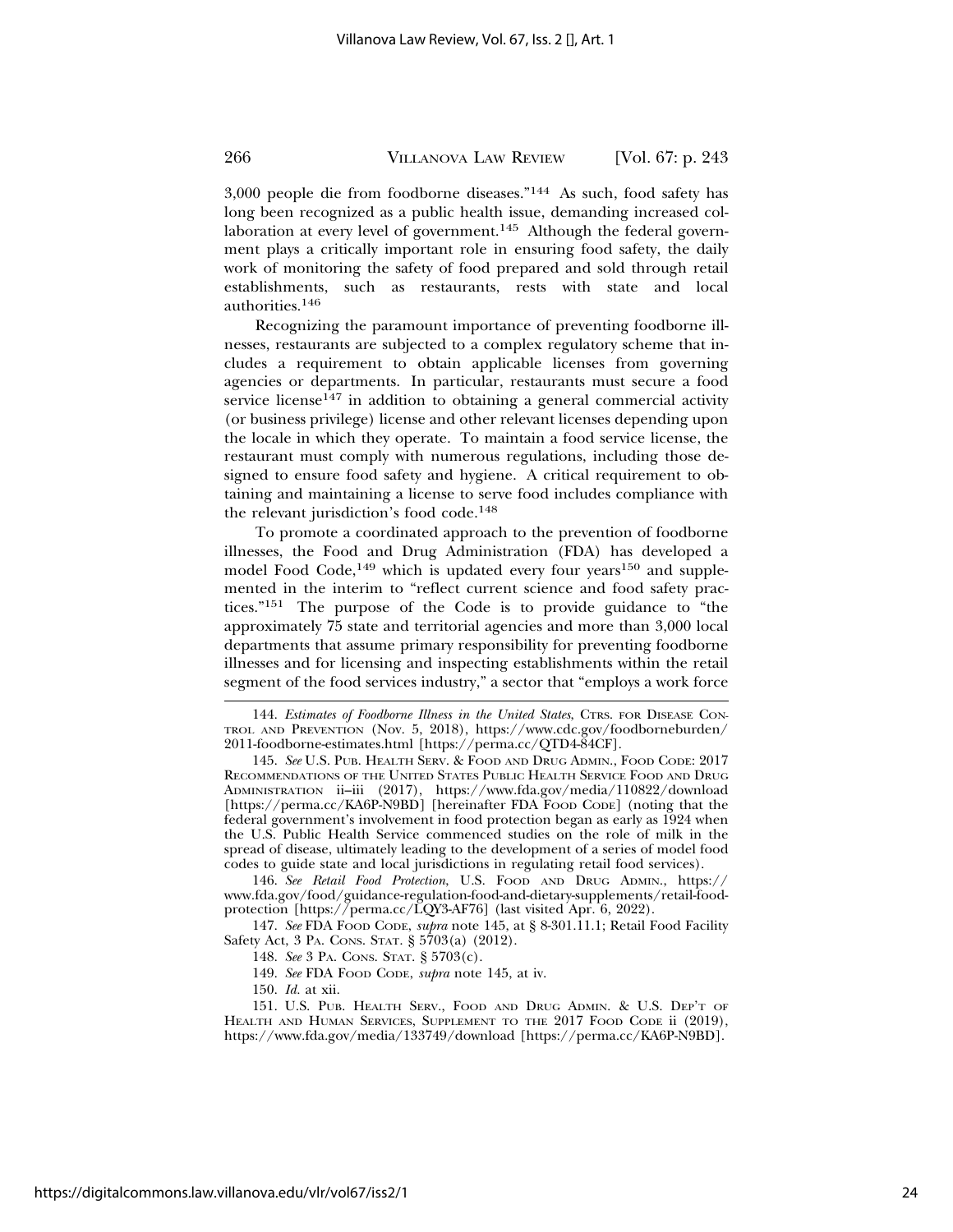3,000 people die from foodborne diseases."144 As such, food safety has long been recognized as a public health issue, demanding increased collaboration at every level of government.<sup>145</sup> Although the federal government plays a critically important role in ensuring food safety, the daily work of monitoring the safety of food prepared and sold through retail establishments, such as restaurants, rests with state and local authorities.146

Recognizing the paramount importance of preventing foodborne illnesses, restaurants are subjected to a complex regulatory scheme that includes a requirement to obtain applicable licenses from governing agencies or departments. In particular, restaurants must secure a food service license<sup>147</sup> in addition to obtaining a general commercial activity (or business privilege) license and other relevant licenses depending upon the locale in which they operate. To maintain a food service license, the restaurant must comply with numerous regulations, including those designed to ensure food safety and hygiene. A critical requirement to obtaining and maintaining a license to serve food includes compliance with the relevant jurisdiction's food code.<sup>148</sup>

To promote a coordinated approach to the prevention of foodborne illnesses, the Food and Drug Administration (FDA) has developed a model Food Code,<sup>149</sup> which is updated every four years<sup>150</sup> and supplemented in the interim to "reflect current science and food safety practices."151 The purpose of the Code is to provide guidance to "the approximately 75 state and territorial agencies and more than 3,000 local departments that assume primary responsibility for preventing foodborne illnesses and for licensing and inspecting establishments within the retail segment of the food services industry," a sector that "employs a work force

146. *See Retail Food Protection*, U.S. FOOD AND DRUG ADMIN., https:// www.fda.gov/food/guidance-regulation-food-and-dietary-supplements/retail-foodprotection [https://perma.cc/LQY3-AF76] (last visited Apr. 6, 2022).

147. *See* FDA FOOD CODE, *supra* note 145, at § 8-301.11.1; Retail Food Facility Safety Act, 3 PA. CONS. STAT. § 5703(a) (2012).

148. *See* 3 PA. CONS. STAT. § 5703(c).

149. *See* FDA FOOD CODE, *supra* note 145, at iv.

150. *Id.* at xii.

151. U.S. PUB. HEALTH SERV., FOOD AND DRUG ADMIN. & U.S. DEP'T OF HEALTH AND HUMAN SERVICES, SUPPLEMENT TO THE 2017 FOOD CODE ii (2019), https://www.fda.gov/media/133749/download [https://perma.cc/KA6P-N9BD].

<sup>144.</sup> *Estimates of Foodborne Illness in the United States*, CTRS. FOR DISEASE CON-TROL AND PREVENTION (Nov. 5, 2018), https://www.cdc.gov/foodborneburden/ 2011-foodborne-estimates.html [https://perma.cc/QTD4-84CF].

<sup>145.</sup> *See* U.S. PUB. HEALTH SERV. & FOOD AND DRUG ADMIN., FOOD CODE: 2017 RECOMMENDATIONS OF THE UNITED STATES PUBLIC HEALTH SERVICE FOOD AND DRUG ADMINISTRATION ii–iii (2017), https://www.fda.gov/media/110822/download [https://perma.cc/KA6P-N9BD] [hereinafter FDA FOOD CODE] (noting that the federal government's involvement in food protection began as early as 1924 when the U.S. Public Health Service commenced studies on the role of milk in the spread of disease, ultimately leading to the development of a series of model food codes to guide state and local jurisdictions in regulating retail food services).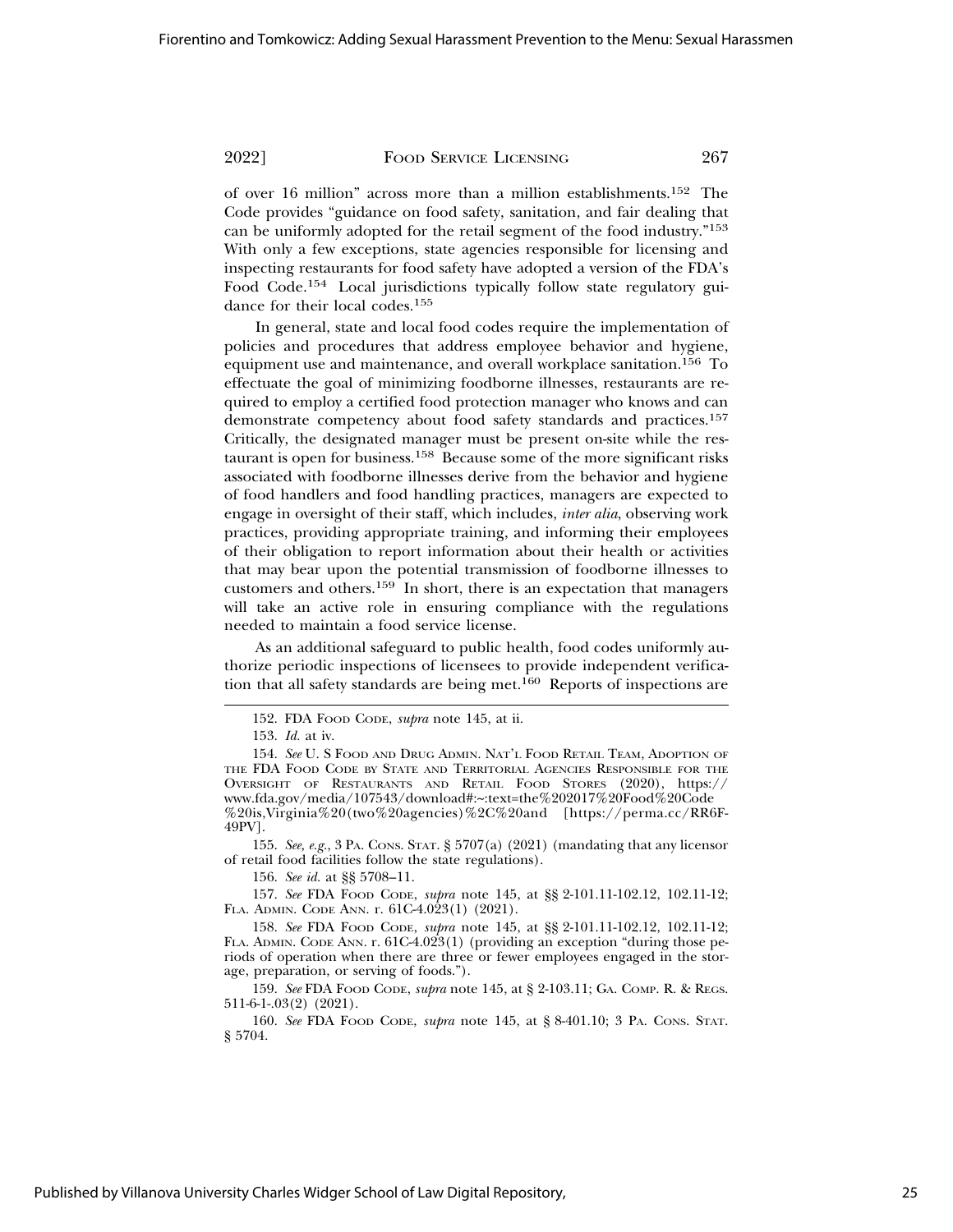of over 16 million" across more than a million establishments.152 The Code provides "guidance on food safety, sanitation, and fair dealing that can be uniformly adopted for the retail segment of the food industry."<sup>153</sup> With only a few exceptions, state agencies responsible for licensing and inspecting restaurants for food safety have adopted a version of the FDA's Food Code.154 Local jurisdictions typically follow state regulatory guidance for their local codes.<sup>155</sup>

In general, state and local food codes require the implementation of policies and procedures that address employee behavior and hygiene, equipment use and maintenance, and overall workplace sanitation.<sup>156</sup> To effectuate the goal of minimizing foodborne illnesses, restaurants are required to employ a certified food protection manager who knows and can demonstrate competency about food safety standards and practices.<sup>157</sup> Critically, the designated manager must be present on-site while the restaurant is open for business.158 Because some of the more significant risks associated with foodborne illnesses derive from the behavior and hygiene of food handlers and food handling practices, managers are expected to engage in oversight of their staff, which includes, *inter alia*, observing work practices, providing appropriate training, and informing their employees of their obligation to report information about their health or activities that may bear upon the potential transmission of foodborne illnesses to customers and others.159 In short, there is an expectation that managers will take an active role in ensuring compliance with the regulations needed to maintain a food service license.

As an additional safeguard to public health, food codes uniformly authorize periodic inspections of licensees to provide independent verification that all safety standards are being met.<sup>160</sup> Reports of inspections are

155. *See, e.g.*, 3 PA. CONS. STAT. § 5707(a) (2021) (mandating that any licensor of retail food facilities follow the state regulations).

156. *See id.* at §§ 5708–11.

157. *See* FDA FOOD CODE, *supra* note 145, at §§ 2-101.11-102.12, 102.11-12; FLA. ADMIN. CODE ANN. r. 61C-4.023(1) (2021).

158. *See* FDA FOOD CODE, *supra* note 145, at §§ 2-101.11-102.12, 102.11-12; FLA. ADMIN. CODE ANN. r. 61C-4.023(1) (providing an exception "during those periods of operation when there are three or fewer employees engaged in the storage, preparation, or serving of foods.").

159. *See* FDA FOOD CODE, *supra* note 145, at § 2-103.11; GA. COMP. R. & REGS. 511-6-1-.03(2) (2021).

160. *See* FDA FOOD CODE, *supra* note 145, at § 8-401.10; 3 PA. CONS. STAT. § 5704.

<sup>152.</sup> FDA FOOD CODE, *supra* note 145, at ii.

<sup>153.</sup> *Id.* at iv.

<sup>154.</sup> *See* U. S FOOD AND DRUG ADMIN. NAT'L FOOD RETAIL TEAM, ADOPTION OF THE FDA FOOD CODE BY STATE AND TERRITORIAL AGENCIES RESPONSIBLE FOR THE OVERSIGHT OF RESTAURANTS AND RETAIL FOOD STORES (2020), https:// www.fda.gov/media/107543/download#:~:text=the%202017%20Food%20Code %20is,Virginia%20(two%20agencies)%2C%20and [https://perma.cc/RR6F-49PV].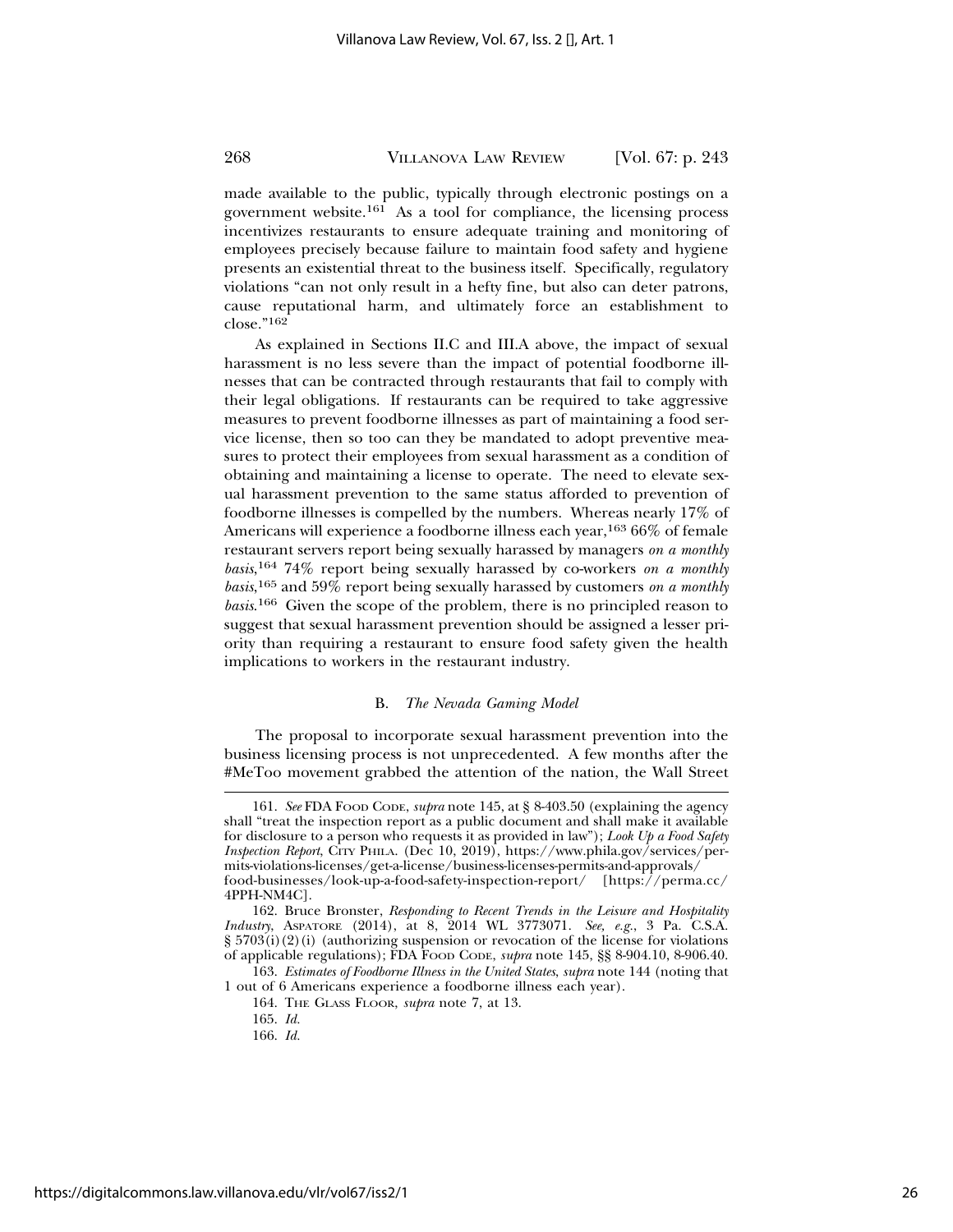made available to the public, typically through electronic postings on a government website.161 As a tool for compliance, the licensing process incentivizes restaurants to ensure adequate training and monitoring of employees precisely because failure to maintain food safety and hygiene presents an existential threat to the business itself. Specifically, regulatory violations "can not only result in a hefty fine, but also can deter patrons, cause reputational harm, and ultimately force an establishment to close."162

As explained in Sections II.C and III.A above, the impact of sexual harassment is no less severe than the impact of potential foodborne illnesses that can be contracted through restaurants that fail to comply with their legal obligations. If restaurants can be required to take aggressive measures to prevent foodborne illnesses as part of maintaining a food service license, then so too can they be mandated to adopt preventive measures to protect their employees from sexual harassment as a condition of obtaining and maintaining a license to operate. The need to elevate sexual harassment prevention to the same status afforded to prevention of foodborne illnesses is compelled by the numbers. Whereas nearly 17% of Americans will experience a foodborne illness each year,<sup>163</sup> 66% of female restaurant servers report being sexually harassed by managers *on a monthly basis*, 164 74% report being sexually harassed by co-workers *on a monthly basis*, 165 and 59% report being sexually harassed by customers *on a monthly basis*. 166 Given the scope of the problem, there is no principled reason to suggest that sexual harassment prevention should be assigned a lesser priority than requiring a restaurant to ensure food safety given the health implications to workers in the restaurant industry.

# B. *The Nevada Gaming Model*

The proposal to incorporate sexual harassment prevention into the business licensing process is not unprecedented. A few months after the #MeToo movement grabbed the attention of the nation, the Wall Street

163. *Estimates of Foodborne Illness in the United States*, *supra* note 144 (noting that 1 out of 6 Americans experience a foodborne illness each year).

164. THE GLASS FLOOR, *supra* note 7, at 13.

166. *Id.*

<sup>161.</sup> *See* FDA FOOD CODE, *supra* note 145, at § 8-403.50 (explaining the agency shall "treat the inspection report as a public document and shall make it available for disclosure to a person who requests it as provided in law"); *Look Up a Food Safety Inspection Report*, CITY PHILA. (Dec 10, 2019), https://www.phila.gov/services/permits-violations-licenses/get-a-license/business-licenses-permits-and-approvals/ food-businesses/look-up-a-food-safety-inspection-report/ [https://perma.cc/ 4PPH-NM4C].

<sup>162.</sup> Bruce Bronster, *Responding to Recent Trends in the Leisure and Hospitality Industry*, ASPATORE (2014), at 8, 2014 WL 3773071. *See, e.g.*, 3 Pa. C.S.A. § 5703(i)(2)(i) (authorizing suspension or revocation of the license for violations of applicable regulations); FDA FOOD CODE, *supra* note 145, §§ 8-904.10, 8-906.40.

<sup>165.</sup> *Id.*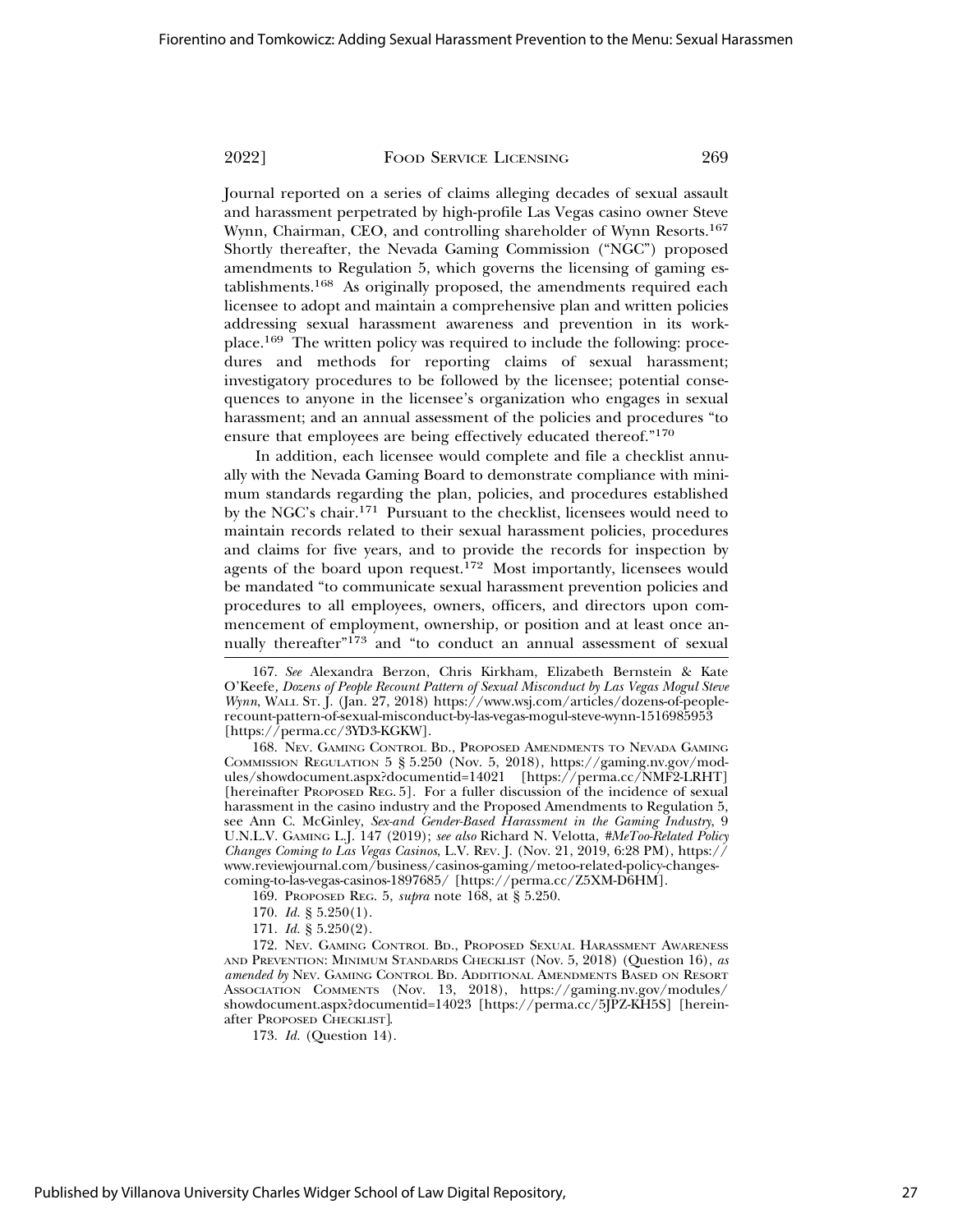Journal reported on a series of claims alleging decades of sexual assault and harassment perpetrated by high-profile Las Vegas casino owner Steve Wynn, Chairman, CEO, and controlling shareholder of Wynn Resorts.<sup>167</sup> Shortly thereafter, the Nevada Gaming Commission ("NGC") proposed amendments to Regulation 5, which governs the licensing of gaming establishments.168 As originally proposed, the amendments required each licensee to adopt and maintain a comprehensive plan and written policies addressing sexual harassment awareness and prevention in its workplace.169 The written policy was required to include the following: procedures and methods for reporting claims of sexual harassment; investigatory procedures to be followed by the licensee; potential consequences to anyone in the licensee's organization who engages in sexual harassment; and an annual assessment of the policies and procedures "to ensure that employees are being effectively educated thereof."<sup>170</sup>

In addition, each licensee would complete and file a checklist annually with the Nevada Gaming Board to demonstrate compliance with minimum standards regarding the plan, policies, and procedures established by the NGC's chair.171 Pursuant to the checklist, licensees would need to maintain records related to their sexual harassment policies, procedures and claims for five years, and to provide the records for inspection by agents of the board upon request.<sup>172</sup> Most importantly, licensees would be mandated "to communicate sexual harassment prevention policies and procedures to all employees, owners, officers, and directors upon commencement of employment, ownership, or position and at least once annually thereafter"173 and "to conduct an annual assessment of sexual

168. NEV. GAMING CONTROL BD., PROPOSED AMENDMENTS TO NEVADA GAMING COMMISSION REGULATION 5 § 5.250 (Nov. 5, 2018), https://gaming.nv.gov/modules/showdocument.aspx?documentid=14021 [https://perma.cc/NMF2-LRHT] [hereinafter PROPOSED REG. 5]. For a fuller discussion of the incidence of sexual harassment in the casino industry and the Proposed Amendments to Regulation 5, see Ann C. McGinley, *Sex-and Gender-Based Harassment in the Gaming Industry*, 9 U.N.L.V. GAMING L.J. 147 (2019); *see also* Richard N. Velotta, *#MeToo-Related Policy Changes Coming to Las Vegas Casinos*, L.V. REV. J. (Nov. 21, 2019, 6:28 PM), https:// www.reviewjournal.com/business/casinos-gaming/metoo-related-policy-changescoming-to-las-vegas-casinos-1897685/ [https://perma.cc/Z5XM-D6HM].

169. PROPOSED REG. 5, *supra* note 168, at § 5.250.

- 170. *Id.* § 5.250(1).
- 171. *Id.* § 5.250(2).

172. NEV. GAMING CONTROL BD., PROPOSED SEXUAL HARASSMENT AWARENESS AND PREVENTION: MINIMUM STANDARDS CHECKLIST (Nov. 5, 2018) (Question 16), *as amended by* NEV. GAMING CONTROL BD. ADDITIONAL AMENDMENTS BASED ON RESORT ASSOCIATION COMMENTS (Nov. 13, 2018), https://gaming.nv.gov/modules/ showdocument.aspx?documentid=14023 [https://perma.cc/5JPZ-KH5S] [hereinafter PROPOSED CHECKLIST].

173. *Id.* (Question 14).

<sup>167.</sup> *See* Alexandra Berzon, Chris Kirkham, Elizabeth Bernstein & Kate O'Keefe*, Dozens of People Recount Pattern of Sexual Misconduct by Las Vegas Mogul Steve Wynn*, WALL ST. J. (Jan. 27, 2018) https://www.wsj.com/articles/dozens-of-peoplerecount-pattern-of-sexual-misconduct-by-las-vegas-mogul-steve-wynn-1516985953 [https://perma.cc/3YD3-KGKW].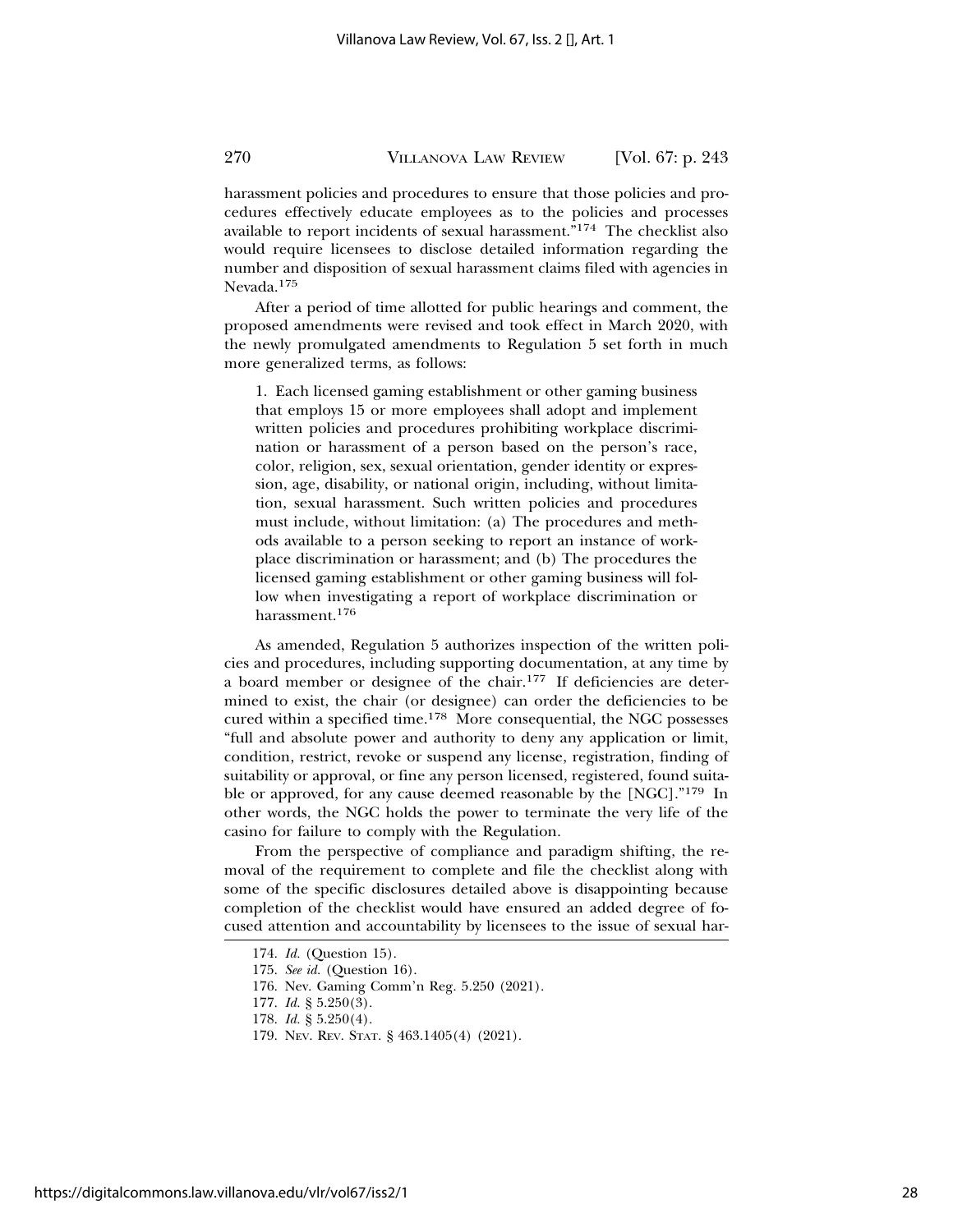harassment policies and procedures to ensure that those policies and procedures effectively educate employees as to the policies and processes available to report incidents of sexual harassment."174 The checklist also would require licensees to disclose detailed information regarding the number and disposition of sexual harassment claims filed with agencies in Nevada.175

After a period of time allotted for public hearings and comment, the proposed amendments were revised and took effect in March 2020, with the newly promulgated amendments to Regulation 5 set forth in much more generalized terms, as follows:

1. Each licensed gaming establishment or other gaming business that employs 15 or more employees shall adopt and implement written policies and procedures prohibiting workplace discrimination or harassment of a person based on the person's race, color, religion, sex, sexual orientation, gender identity or expression, age, disability, or national origin, including, without limitation, sexual harassment. Such written policies and procedures must include, without limitation: (a) The procedures and methods available to a person seeking to report an instance of workplace discrimination or harassment; and (b) The procedures the licensed gaming establishment or other gaming business will follow when investigating a report of workplace discrimination or harassment.176

As amended, Regulation 5 authorizes inspection of the written policies and procedures, including supporting documentation, at any time by a board member or designee of the chair.177 If deficiencies are determined to exist, the chair (or designee) can order the deficiencies to be cured within a specified time.178 More consequential, the NGC possesses "full and absolute power and authority to deny any application or limit, condition, restrict, revoke or suspend any license, registration, finding of suitability or approval, or fine any person licensed, registered, found suitable or approved, for any cause deemed reasonable by the [NGC]."179 In other words, the NGC holds the power to terminate the very life of the casino for failure to comply with the Regulation.

From the perspective of compliance and paradigm shifting, the removal of the requirement to complete and file the checklist along with some of the specific disclosures detailed above is disappointing because completion of the checklist would have ensured an added degree of focused attention and accountability by licensees to the issue of sexual har-

https://digitalcommons.law.villanova.edu/vlr/vol67/iss2/1

<sup>174.</sup> *Id.* (Question 15).

<sup>175.</sup> *See id.* (Question 16).

<sup>176.</sup> Nev. Gaming Comm'n Reg. 5.250 (2021).

<sup>177.</sup> *Id.* § 5.250(3).

<sup>178.</sup> *Id.* § 5.250(4).

<sup>179.</sup> NEV. REV. STAT. § 463.1405(4) (2021).